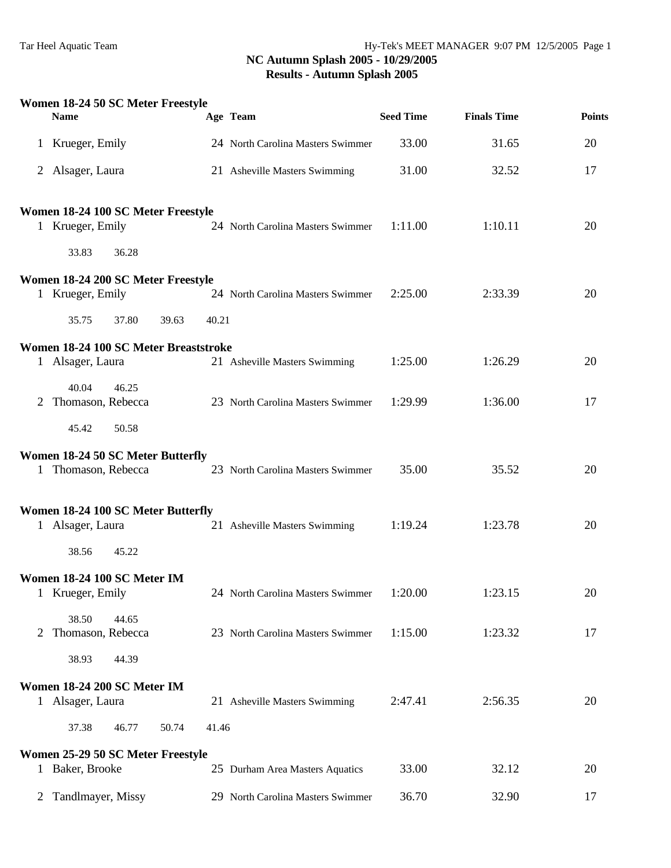|                | Women 18-24 50 SC Meter Freestyle<br><b>Name</b>          |       | Age Team                          | <b>Seed Time</b> | <b>Finals Time</b> | <b>Points</b> |
|----------------|-----------------------------------------------------------|-------|-----------------------------------|------------------|--------------------|---------------|
| $\mathbf{1}$   | Krueger, Emily                                            |       | 24 North Carolina Masters Swimmer | 33.00            | 31.65              | 20            |
|                | 2 Alsager, Laura                                          |       | 21 Asheville Masters Swimming     | 31.00            | 32.52              | 17            |
|                | Women 18-24 100 SC Meter Freestyle                        |       |                                   |                  |                    |               |
| $\mathbf{1}$   | Krueger, Emily                                            |       | 24 North Carolina Masters Swimmer | 1:11.00          | 1:10.11            | 20            |
|                | 33.83<br>36.28                                            |       |                                   |                  |                    |               |
| $\mathbf{1}$   | Women 18-24 200 SC Meter Freestyle<br>Krueger, Emily      |       | 24 North Carolina Masters Swimmer | 2:25.00          | 2:33.39            | 20            |
|                | 35.75<br>37.80<br>39.63                                   | 40.21 |                                   |                  |                    |               |
|                |                                                           |       |                                   |                  |                    |               |
|                | Women 18-24 100 SC Meter Breaststroke<br>1 Alsager, Laura |       | 21 Asheville Masters Swimming     | 1:25.00          | 1:26.29            | 20            |
|                | 40.04<br>46.25                                            |       |                                   |                  |                    |               |
| 2              | Thomason, Rebecca                                         |       | 23 North Carolina Masters Swimmer | 1:29.99          | 1:36.00            | 17            |
|                | 45.42<br>50.58                                            |       |                                   |                  |                    |               |
|                | Women 18-24 50 SC Meter Butterfly                         |       |                                   |                  |                    |               |
|                | 1 Thomason, Rebecca                                       |       | 23 North Carolina Masters Swimmer | 35.00            | 35.52              | 20            |
|                | Women 18-24 100 SC Meter Butterfly                        |       |                                   |                  |                    |               |
|                | 1 Alsager, Laura                                          |       | 21 Asheville Masters Swimming     | 1:19.24          | 1:23.78            | 20            |
|                | 38.56<br>45.22                                            |       |                                   |                  |                    |               |
|                | Women 18-24 100 SC Meter IM                               |       |                                   |                  |                    |               |
|                | Krueger, Emily                                            |       | 24 North Carolina Masters Swimmer | 1:20.00          | 1:23.15            | 20            |
|                | 38.50<br>44.65                                            |       |                                   |                  |                    |               |
| 2              | Thomason, Rebecca<br>38.93<br>44.39                       |       | 23 North Carolina Masters Swimmer | 1:15.00          | 1:23.32            | 17            |
|                |                                                           |       |                                   |                  |                    |               |
|                | Women 18-24 200 SC Meter IM<br>1 Alsager, Laura           |       | 21 Asheville Masters Swimming     | 2:47.41          | 2:56.35            | 20            |
|                | 37.38<br>50.74<br>46.77                                   | 41.46 |                                   |                  |                    |               |
|                | Women 25-29 50 SC Meter Freestyle                         |       |                                   |                  |                    |               |
|                | 1 Baker, Brooke                                           |       | 25 Durham Area Masters Aquatics   | 33.00            | 32.12              | 20            |
| $\overline{2}$ | Tandlmayer, Missy                                         |       | 29 North Carolina Masters Swimmer | 36.70            | 32.90              | 17            |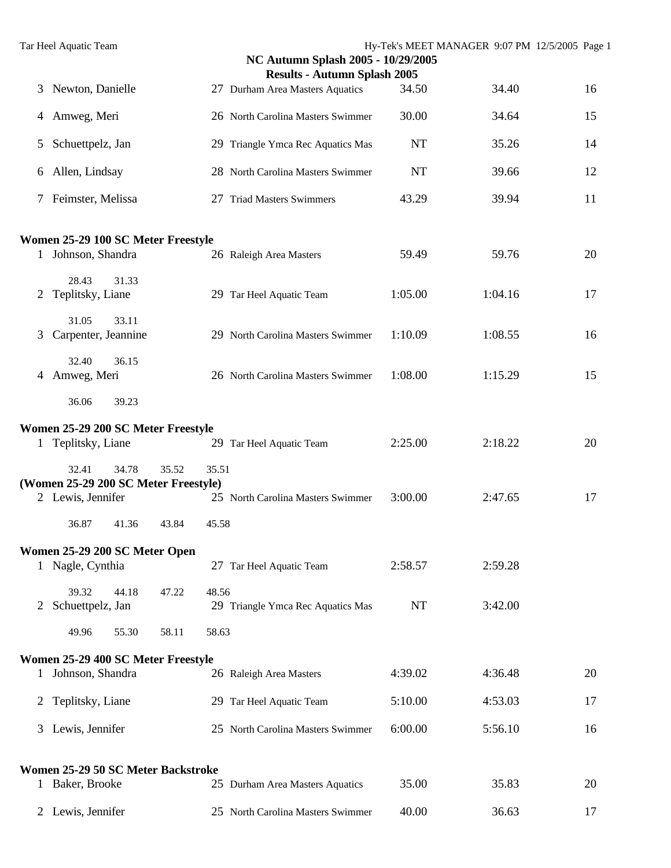|               | Tar Heel Aquatic Team                                  |                | NC Autumn Splash 2005 - 10/29/2005  |           | Hy-Tek's MEET MANAGER 9:07 PM 12/5/2005 Page 1 |    |
|---------------|--------------------------------------------------------|----------------|-------------------------------------|-----------|------------------------------------------------|----|
|               |                                                        |                | <b>Results - Autumn Splash 2005</b> |           |                                                |    |
| 3             | Newton, Danielle                                       |                | 27 Durham Area Masters Aquatics     | 34.50     | 34.40                                          | 16 |
| 4             | Amweg, Meri                                            |                | 26 North Carolina Masters Swimmer   | 30.00     | 34.64                                          | 15 |
| 5             | Schuettpelz, Jan                                       |                | 29 Triangle Ymca Rec Aquatics Mas   | <b>NT</b> | 35.26                                          | 14 |
| 6             | Allen, Lindsay                                         |                | 28 North Carolina Masters Swimmer   | <b>NT</b> | 39.66                                          | 12 |
| 7             | Feimster, Melissa                                      |                | 27 Triad Masters Swimmers           | 43.29     | 39.94                                          | 11 |
|               | Women 25-29 100 SC Meter Freestyle                     |                |                                     |           |                                                |    |
|               | 1 Johnson, Shandra                                     |                | 26 Raleigh Area Masters             | 59.49     | 59.76                                          | 20 |
| 2             | 28.43<br>31.33<br>Teplitsky, Liane                     |                | 29 Tar Heel Aquatic Team            | 1:05.00   | 1:04.16                                        | 17 |
| 3             | 31.05<br>33.11<br>Carpenter, Jeannine                  |                | 29 North Carolina Masters Swimmer   | 1:10.09   | 1:08.55                                        | 16 |
| 4             | 32.40<br>36.15<br>Amweg, Meri                          |                | 26 North Carolina Masters Swimmer   | 1:08.00   | 1:15.29                                        | 15 |
|               | 36.06<br>39.23                                         |                |                                     |           |                                                |    |
|               | Women 25-29 200 SC Meter Freestyle                     |                |                                     |           |                                                |    |
| 1             | Teplitsky, Liane                                       |                | 29 Tar Heel Aquatic Team            | 2:25.00   | 2:18.22                                        | 20 |
|               | 32.41<br>34.78<br>(Women 25-29 200 SC Meter Freestyle) | 35.52<br>35.51 |                                     |           |                                                |    |
|               | 2 Lewis, Jennifer                                      |                | 25 North Carolina Masters Swimmer   | 3:00.00   | 2:47.65                                        | 17 |
|               | 36.87<br>41.36                                         | 43.84<br>45.58 |                                     |           |                                                |    |
|               | Women 25-29 200 SC Meter Open                          |                |                                     |           |                                                |    |
|               | 1 Nagle, Cynthia                                       |                | 27 Tar Heel Aquatic Team            | 2:58.57   | 2:59.28                                        |    |
| $\mathcal{L}$ | 39.32<br>44.18<br>Schuettpelz, Jan                     | 47.22<br>48.56 | 29 Triangle Ymca Rec Aquatics Mas   | <b>NT</b> | 3:42.00                                        |    |
|               | 55.30<br>49.96                                         | 58.11<br>58.63 |                                     |           |                                                |    |
|               | Women 25-29 400 SC Meter Freestyle                     |                |                                     |           |                                                |    |
|               | 1 Johnson, Shandra                                     |                | 26 Raleigh Area Masters             | 4:39.02   | 4:36.48                                        | 20 |
| 2             | Teplitsky, Liane                                       |                | 29 Tar Heel Aquatic Team            | 5:10.00   | 4:53.03                                        | 17 |
| 3             | Lewis, Jennifer                                        |                | 25 North Carolina Masters Swimmer   | 6:00.00   | 5:56.10                                        | 16 |
|               | Women 25-29 50 SC Meter Backstroke                     |                |                                     |           |                                                |    |
|               | 1 Baker, Brooke                                        |                | 25 Durham Area Masters Aquatics     | 35.00     | 35.83                                          | 20 |
|               | 2 Lewis, Jennifer                                      |                | 25 North Carolina Masters Swimmer   | 40.00     | 36.63                                          | 17 |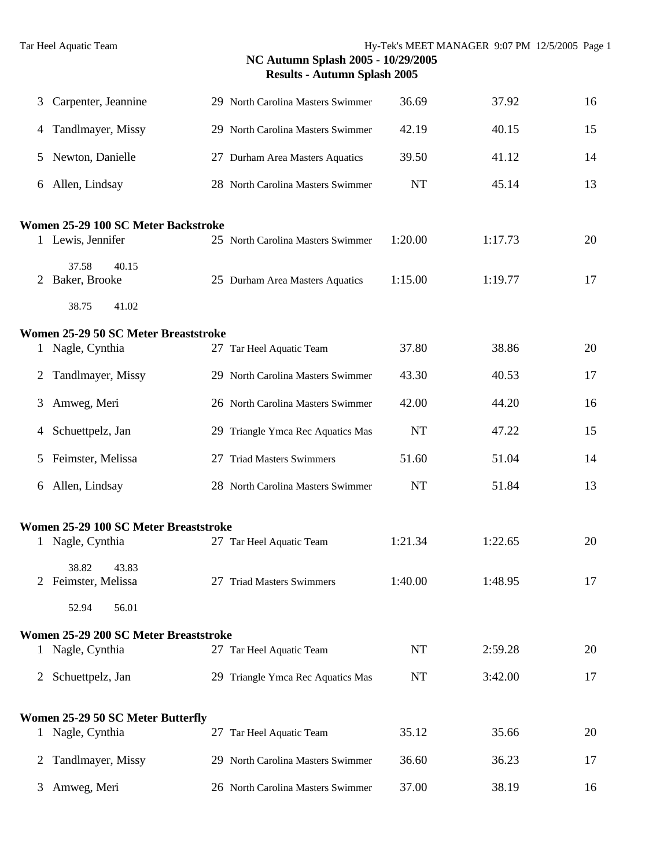| 3 | Carpenter, Jeannine                   |    | 29 North Carolina Masters Swimmer | 36.69     | 37.92   | 16 |
|---|---------------------------------------|----|-----------------------------------|-----------|---------|----|
| 4 | Tandlmayer, Missy                     |    | 29 North Carolina Masters Swimmer | 42.19     | 40.15   | 15 |
| 5 | Newton, Danielle                      |    | 27 Durham Area Masters Aquatics   | 39.50     | 41.12   | 14 |
| 6 | Allen, Lindsay                        |    | 28 North Carolina Masters Swimmer | <b>NT</b> | 45.14   | 13 |
|   | Women 25-29 100 SC Meter Backstroke   |    |                                   |           |         |    |
|   | 1 Lewis, Jennifer                     |    | 25 North Carolina Masters Swimmer | 1:20.00   | 1:17.73 | 20 |
| 2 | 37.58<br>40.15<br>Baker, Brooke       |    | 25 Durham Area Masters Aquatics   | 1:15.00   | 1:19.77 | 17 |
|   | 38.75<br>41.02                        |    |                                   |           |         |    |
|   | Women 25-29 50 SC Meter Breaststroke  |    |                                   |           |         |    |
|   | 1 Nagle, Cynthia                      |    | 27 Tar Heel Aquatic Team          | 37.80     | 38.86   | 20 |
| 2 | Tandlmayer, Missy                     |    | 29 North Carolina Masters Swimmer | 43.30     | 40.53   | 17 |
| 3 | Amweg, Meri                           |    | 26 North Carolina Masters Swimmer | 42.00     | 44.20   | 16 |
| 4 | Schuettpelz, Jan                      |    | 29 Triangle Ymca Rec Aquatics Mas | <b>NT</b> | 47.22   | 15 |
| 5 | Feimster, Melissa                     | 27 | <b>Triad Masters Swimmers</b>     | 51.60     | 51.04   | 14 |
| 6 | Allen, Lindsay                        |    | 28 North Carolina Masters Swimmer | <b>NT</b> | 51.84   | 13 |
|   | Women 25-29 100 SC Meter Breaststroke |    |                                   |           |         |    |
|   | 1 Nagle, Cynthia                      |    | 27 Tar Heel Aquatic Team          | 1:21.34   | 1:22.65 | 20 |
|   | 38.82<br>43.83<br>2 Feimster, Melissa |    | 27 Triad Masters Swimmers         | 1:40.00   | 1:48.95 | 17 |
|   | 52.94<br>56.01                        |    |                                   |           |         |    |
|   | Women 25-29 200 SC Meter Breaststroke |    |                                   |           |         |    |
|   | 1 Nagle, Cynthia                      |    | 27 Tar Heel Aquatic Team          | NT        | 2:59.28 | 20 |
|   | 2 Schuettpelz, Jan                    |    | 29 Triangle Ymca Rec Aquatics Mas | NT        | 3:42.00 | 17 |
|   | Women 25-29 50 SC Meter Butterfly     |    |                                   |           |         |    |
|   | 1 Nagle, Cynthia                      |    | 27 Tar Heel Aquatic Team          | 35.12     | 35.66   | 20 |
| 2 | Tandlmayer, Missy                     |    | 29 North Carolina Masters Swimmer | 36.60     | 36.23   | 17 |
|   | 3 Amweg, Meri                         |    | 26 North Carolina Masters Swimmer | 37.00     | 38.19   | 16 |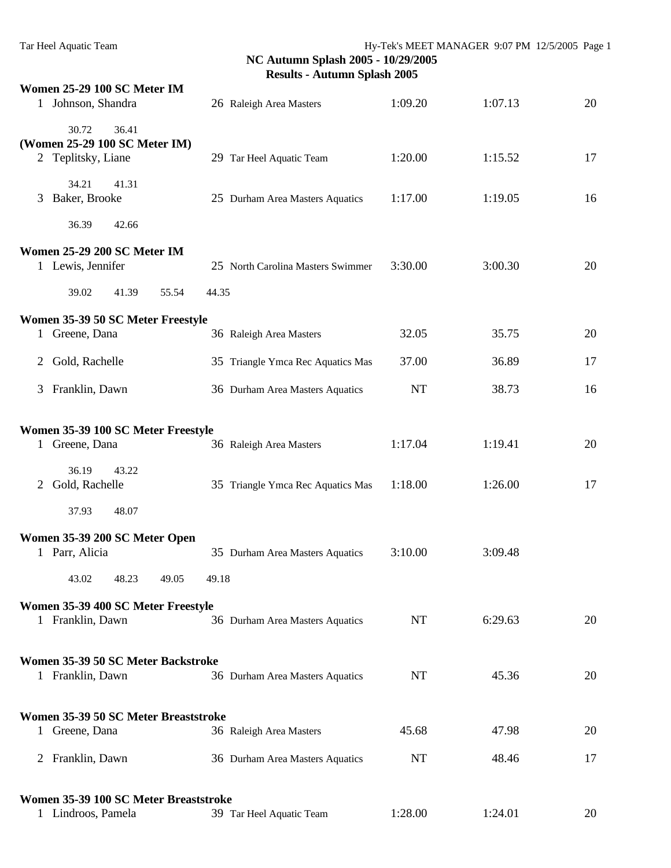| Women 25-29 100 SC Meter IM<br>1 Johnson, Shandra      | 26 Raleigh Area Masters           | 1:09.20   | 1:07.13 | 20 |
|--------------------------------------------------------|-----------------------------------|-----------|---------|----|
| 30.72<br>36.41                                         |                                   |           |         |    |
| (Women 25-29 100 SC Meter IM)                          |                                   |           |         |    |
| 2 Teplitsky, Liane                                     | 29 Tar Heel Aquatic Team          | 1:20.00   | 1:15.52 | 17 |
| 34.21<br>41.31                                         |                                   |           |         |    |
| Baker, Brooke<br>3                                     | 25 Durham Area Masters Aquatics   | 1:17.00   | 1:19.05 | 16 |
| 36.39<br>42.66                                         |                                   |           |         |    |
| Women 25-29 200 SC Meter IM                            |                                   |           |         |    |
| 1 Lewis, Jennifer                                      | 25 North Carolina Masters Swimmer | 3:30.00   | 3:00.30 | 20 |
| 39.02<br>41.39<br>55.54                                | 44.35                             |           |         |    |
| Women 35-39 50 SC Meter Freestyle                      |                                   |           |         |    |
| Greene, Dana<br>$\mathbf{1}$                           | 36 Raleigh Area Masters           | 32.05     | 35.75   | 20 |
| Gold, Rachelle<br>2                                    | 35 Triangle Ymca Rec Aquatics Mas | 37.00     | 36.89   | 17 |
| Franklin, Dawn<br>3                                    | 36 Durham Area Masters Aquatics   | <b>NT</b> | 38.73   | 16 |
|                                                        |                                   |           |         |    |
| Women 35-39 100 SC Meter Freestyle                     |                                   |           |         |    |
| 1 Greene, Dana                                         | 36 Raleigh Area Masters           | 1:17.04   | 1:19.41 | 20 |
| 36.19<br>43.22                                         |                                   |           |         |    |
| Gold, Rachelle<br>2                                    | 35 Triangle Ymca Rec Aquatics Mas | 1:18.00   | 1:26.00 | 17 |
| 37.93<br>48.07                                         |                                   |           |         |    |
| Women 35-39 200 SC Meter Open                          |                                   |           |         |    |
| 1 Parr, Alicia                                         | 35 Durham Area Masters Aquatics   | 3:10.00   | 3:09.48 |    |
| 43.02<br>48.23<br>49.05                                | 49.18                             |           |         |    |
| Women 35-39 400 SC Meter Freestyle                     |                                   |           |         |    |
| 1 Franklin, Dawn                                       | 36 Durham Area Masters Aquatics   | <b>NT</b> | 6:29.63 | 20 |
|                                                        |                                   |           |         |    |
| Women 35-39 50 SC Meter Backstroke<br>1 Franklin, Dawn | 36 Durham Area Masters Aquatics   | <b>NT</b> | 45.36   | 20 |
|                                                        |                                   |           |         |    |
| Women 35-39 50 SC Meter Breaststroke                   |                                   |           |         |    |
| 1 Greene, Dana                                         | 36 Raleigh Area Masters           | 45.68     | 47.98   | 20 |
| 2 Franklin, Dawn                                       | 36 Durham Area Masters Aquatics   | NT        | 48.46   | 17 |
|                                                        |                                   |           |         |    |
| Women 35-39 100 SC Meter Breaststroke                  |                                   |           |         |    |
| 1 Lindroos, Pamela                                     | 39 Tar Heel Aquatic Team          | 1:28.00   | 1:24.01 | 20 |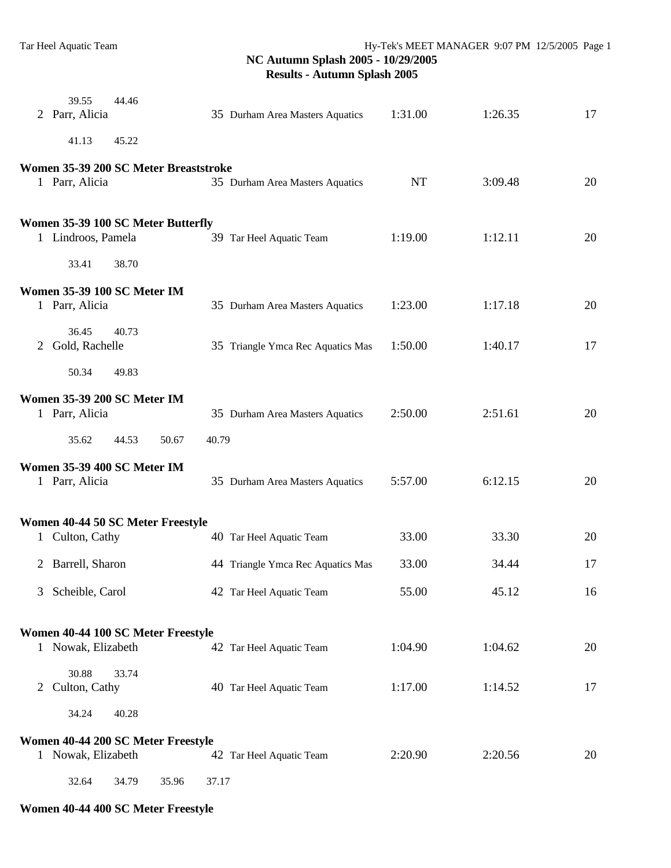|   | 39.55<br>2 Parr, Alicia   | 44.46                                 |       | 35 Durham Area Masters Aquatics   | 1:31.00   | 1:26.35 | 17 |
|---|---------------------------|---------------------------------------|-------|-----------------------------------|-----------|---------|----|
|   | 41.13                     | 45.22                                 |       |                                   |           |         |    |
|   |                           | Women 35-39 200 SC Meter Breaststroke |       |                                   |           |         |    |
|   | 1 Parr, Alicia            |                                       |       | 35 Durham Area Masters Aquatics   | <b>NT</b> | 3:09.48 | 20 |
|   |                           | Women 35-39 100 SC Meter Butterfly    |       |                                   |           |         |    |
|   | 1 Lindroos, Pamela        |                                       |       | 39 Tar Heel Aquatic Team          | 1:19.00   | 1:12.11 | 20 |
|   | 33.41                     | 38.70                                 |       |                                   |           |         |    |
|   | 1 Parr, Alicia            | Women 35-39 100 SC Meter IM           |       | 35 Durham Area Masters Aquatics   | 1:23.00   | 1:17.18 | 20 |
|   |                           |                                       |       |                                   |           |         |    |
|   | 36.45<br>2 Gold, Rachelle | 40.73                                 |       | 35 Triangle Ymca Rec Aquatics Mas | 1:50.00   | 1:40.17 | 17 |
|   | 50.34                     | 49.83                                 |       |                                   |           |         |    |
|   |                           | <b>Women 35-39 200 SC Meter IM</b>    |       |                                   |           |         |    |
|   | 1 Parr, Alicia            |                                       |       | 35 Durham Area Masters Aquatics   | 2:50.00   | 2:51.61 | 20 |
|   | 35.62                     | 44.53<br>50.67                        | 40.79 |                                   |           |         |    |
|   | 1 Parr, Alicia            | Women 35-39 400 SC Meter IM           |       | 35 Durham Area Masters Aquatics   | 5:57.00   | 6:12.15 | 20 |
|   |                           |                                       |       |                                   |           |         |    |
|   |                           | Women 40-44 50 SC Meter Freestyle     |       |                                   |           |         |    |
|   | 1 Culton, Cathy           |                                       |       | 40 Tar Heel Aquatic Team          | 33.00     | 33.30   | 20 |
| 2 | Barrell, Sharon           |                                       |       | 44 Triangle Ymca Rec Aquatics Mas | 33.00     | 34.44   | 17 |
| 3 | Scheible, Carol           |                                       |       | 42 Tar Heel Aquatic Team          | 55.00     | 45.12   | 16 |
|   |                           |                                       |       |                                   |           |         |    |
|   | 1 Nowak, Elizabeth        | Women 40-44 100 SC Meter Freestyle    |       | 42 Tar Heel Aquatic Team          | 1:04.90   | 1:04.62 | 20 |
|   | 30.88                     | 33.74                                 |       |                                   |           |         |    |
|   | 2 Culton, Cathy           |                                       |       | 40 Tar Heel Aquatic Team          | 1:17.00   | 1:14.52 | 17 |
|   | 34.24                     | 40.28                                 |       |                                   |           |         |    |
|   |                           | Women 40-44 200 SC Meter Freestyle    |       |                                   |           |         |    |
|   | 1 Nowak, Elizabeth        |                                       |       | 42 Tar Heel Aquatic Team          | 2:20.90   | 2:20.56 | 20 |
|   | 32.64                     | 34.79<br>35.96                        | 37.17 |                                   |           |         |    |

# **Women 40-44 400 SC Meter Freestyle**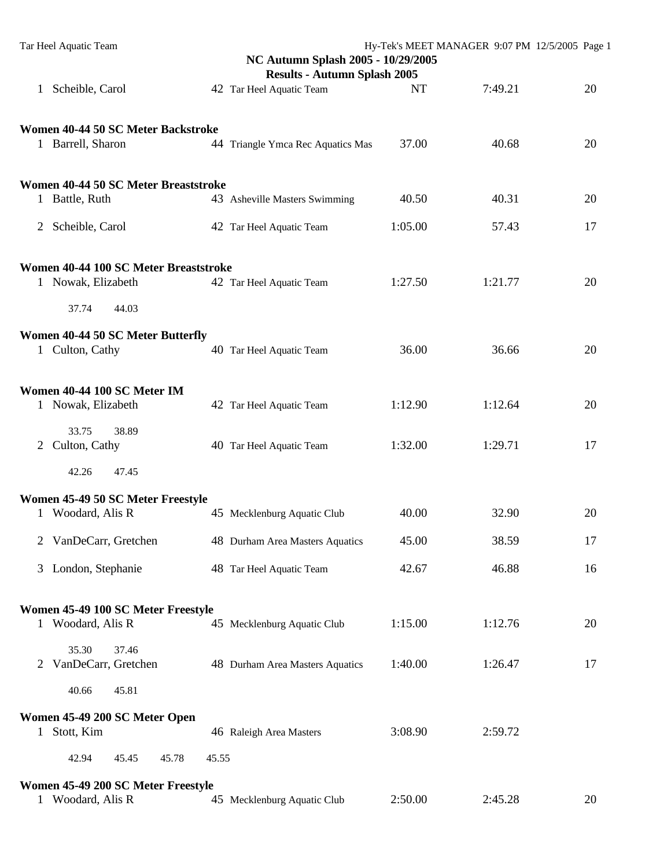| Tar Heel Aquatic Team                                   | NC Autumn Splash 2005 - 10/29/2005  |           | Hy-Tek's MEET MANAGER 9:07 PM 12/5/2005 Page 1 |    |
|---------------------------------------------------------|-------------------------------------|-----------|------------------------------------------------|----|
|                                                         | <b>Results - Autumn Splash 2005</b> |           |                                                |    |
| Scheible, Carol<br>1                                    | 42 Tar Heel Aquatic Team            | <b>NT</b> | 7:49.21                                        | 20 |
| Women 40-44 50 SC Meter Backstroke                      |                                     |           |                                                |    |
| 1 Barrell, Sharon                                       | 44 Triangle Ymca Rec Aquatics Mas   | 37.00     | 40.68                                          | 20 |
| Women 40-44 50 SC Meter Breaststroke                    |                                     |           |                                                |    |
| 1 Battle, Ruth                                          | 43 Asheville Masters Swimming       | 40.50     | 40.31                                          | 20 |
| Scheible, Carol<br>2                                    | 42 Tar Heel Aquatic Team            | 1:05.00   | 57.43                                          | 17 |
| Women 40-44 100 SC Meter Breaststroke                   |                                     |           |                                                |    |
| 1 Nowak, Elizabeth                                      | 42 Tar Heel Aquatic Team            | 1:27.50   | 1:21.77                                        | 20 |
| 37.74<br>44.03                                          |                                     |           |                                                |    |
| Women 40-44 50 SC Meter Butterfly<br>1 Culton, Cathy    | 40 Tar Heel Aquatic Team            | 36.00     | 36.66                                          | 20 |
| Women 40-44 100 SC Meter IM<br>1 Nowak, Elizabeth       | 42 Tar Heel Aquatic Team            | 1:12.90   | 1:12.64                                        | 20 |
| 33.75<br>38.89<br>Culton, Cathy<br>2                    | 40 Tar Heel Aquatic Team            | 1:32.00   | 1:29.71                                        | 17 |
| 42.26<br>47.45                                          |                                     |           |                                                |    |
| Women 45-49 50 SC Meter Freestyle                       |                                     |           |                                                |    |
| 1 Woodard, Alis R                                       | 45 Mecklenburg Aquatic Club         | 40.00     | 32.90                                          | 20 |
| VanDeCarr, Gretchen<br>2                                | 48 Durham Area Masters Aquatics     | 45.00     | 38.59                                          | 17 |
| 3 London, Stephanie                                     | 48 Tar Heel Aquatic Team            | 42.67     | 46.88                                          | 16 |
| Women 45-49 100 SC Meter Freestyle                      |                                     |           |                                                |    |
| 1 Woodard, Alis R                                       | 45 Mecklenburg Aquatic Club         | 1:15.00   | 1:12.76                                        | 20 |
| 37.46<br>35.30<br>VanDeCarr, Gretchen<br>2              | 48 Durham Area Masters Aquatics     | 1:40.00   | 1:26.47                                        | 17 |
| 40.66<br>45.81                                          |                                     |           |                                                |    |
| Women 45-49 200 SC Meter Open                           |                                     |           |                                                |    |
| Stott, Kim<br>$\mathbf{1}$                              | 46 Raleigh Area Masters             | 3:08.90   | 2:59.72                                        |    |
| 42.94<br>45.45<br>45.78                                 | 45.55                               |           |                                                |    |
| Women 45-49 200 SC Meter Freestyle<br>1 Woodard, Alis R | 45 Mecklenburg Aquatic Club         | 2:50.00   | 2:45.28                                        | 20 |
|                                                         |                                     |           |                                                |    |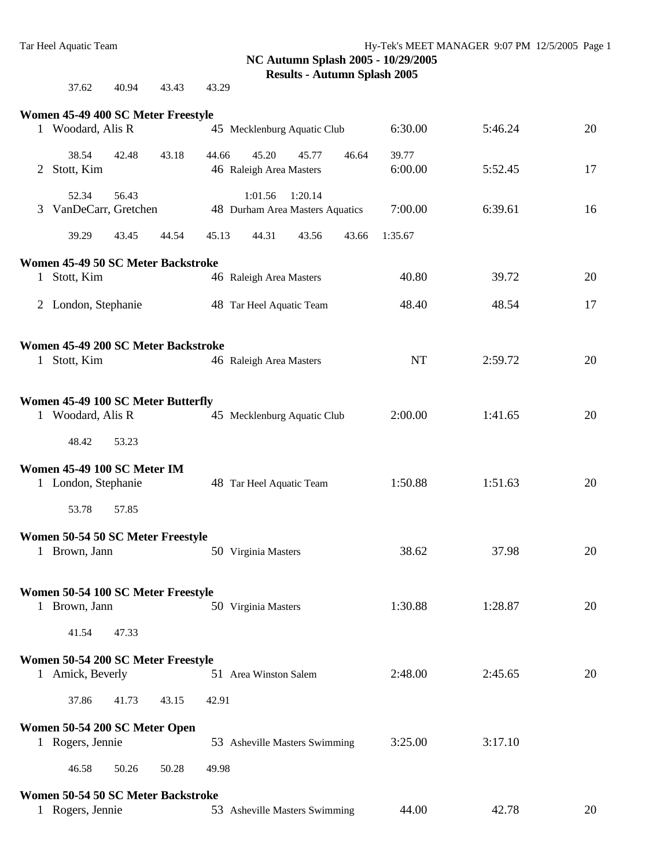| 37.62 | 40.94 | 43.43 | 43.29 |
|-------|-------|-------|-------|
|       |       |       |       |

|              | Women 45-49 400 SC Meter Freestyle                      |       |                                                             |                  |         |    |
|--------------|---------------------------------------------------------|-------|-------------------------------------------------------------|------------------|---------|----|
|              | 1 Woodard, Alis R                                       |       | 45 Mecklenburg Aquatic Club                                 | 6:30.00          | 5:46.24 | 20 |
| 2            | 38.54<br>42.48<br>Stott, Kim                            | 43.18 | 45.20<br>44.66<br>45.77<br>46.64<br>46 Raleigh Area Masters | 39.77<br>6:00.00 | 5:52.45 | 17 |
| 3            | 56.43<br>52.34<br>VanDeCarr, Gretchen                   |       | 1:20.14<br>1:01.56<br>48 Durham Area Masters Aquatics       | 7:00.00          | 6:39.61 | 16 |
|              | 39.29<br>43.45                                          | 44.54 | 45.13<br>44.31<br>43.56<br>43.66                            | 1:35.67          |         |    |
|              | Women 45-49 50 SC Meter Backstroke                      |       |                                                             |                  |         |    |
| $\mathbf{1}$ | Stott, Kim                                              |       | 46 Raleigh Area Masters                                     | 40.80            | 39.72   | 20 |
|              | 2 London, Stephanie                                     |       | 48 Tar Heel Aquatic Team                                    | 48.40            | 48.54   | 17 |
|              | Women 45-49 200 SC Meter Backstroke                     |       |                                                             |                  |         |    |
|              | 1 Stott, Kim                                            |       | 46 Raleigh Area Masters                                     | <b>NT</b>        | 2:59.72 | 20 |
|              | Women 45-49 100 SC Meter Butterfly<br>1 Woodard, Alis R |       | 45 Mecklenburg Aquatic Club                                 | 2:00.00          | 1:41.65 | 20 |
|              | 48.42<br>53.23                                          |       |                                                             |                  |         |    |
|              | Women 45-49 100 SC Meter IM<br>1 London, Stephanie      |       | 48 Tar Heel Aquatic Team                                    | 1:50.88          | 1:51.63 | 20 |
|              | 53.78<br>57.85                                          |       |                                                             |                  |         |    |
|              | Women 50-54 50 SC Meter Freestyle<br>1 Brown, Jann      |       | 50 Virginia Masters                                         | 38.62            | 37.98   | 20 |
|              | Women 50-54 100 SC Meter Freestyle<br>Brown, Jann       |       | 50 Virginia Masters                                         | 1:30.88          | 1:28.87 | 20 |
|              | 41.54<br>47.33                                          |       |                                                             |                  |         |    |
|              | Women 50-54 200 SC Meter Freestyle<br>1 Amick, Beverly  |       | 51 Area Winston Salem                                       | 2:48.00          | 2:45.65 | 20 |
|              | 37.86<br>41.73                                          | 43.15 | 42.91                                                       |                  |         |    |
|              | Women 50-54 200 SC Meter Open                           |       |                                                             |                  |         |    |
|              | 1 Rogers, Jennie                                        |       | 53 Asheville Masters Swimming                               | 3:25.00          | 3:17.10 |    |
|              | 46.58<br>50.26                                          | 50.28 | 49.98                                                       |                  |         |    |
|              | Women 50-54 50 SC Meter Backstroke                      |       |                                                             |                  |         |    |
|              | 1 Rogers, Jennie                                        |       | 53 Asheville Masters Swimming                               | 44.00            | 42.78   | 20 |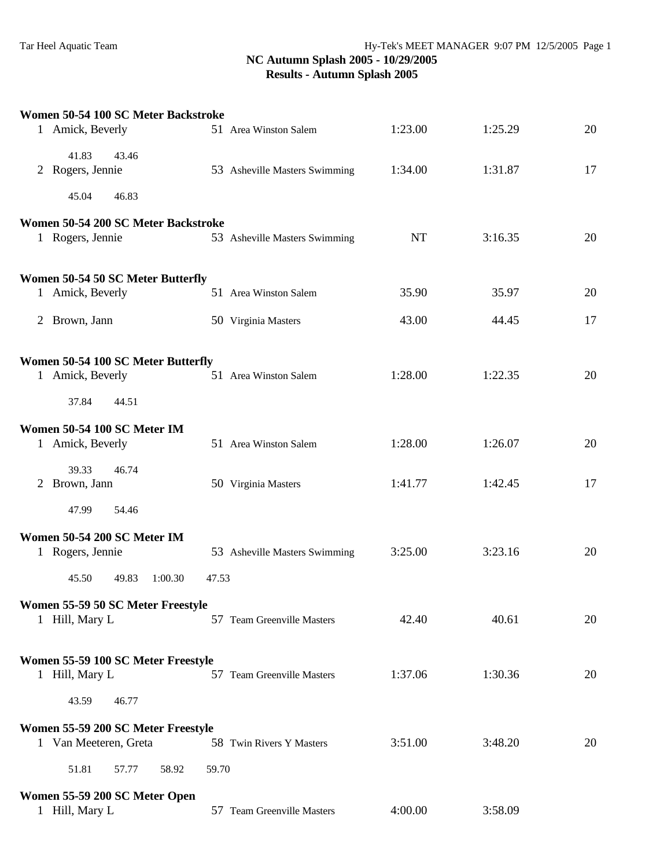| Women 50-54 100 SC Meter Backstroke                                      |       |                               |           |         |    |
|--------------------------------------------------------------------------|-------|-------------------------------|-----------|---------|----|
| 1 Amick, Beverly                                                         |       | 51 Area Winston Salem         | 1:23.00   | 1:25.29 | 20 |
| 41.83<br>43.46<br>2 Rogers, Jennie                                       |       | 53 Asheville Masters Swimming | 1:34.00   | 1:31.87 | 17 |
| 45.04<br>46.83                                                           |       |                               |           |         |    |
| Women 50-54 200 SC Meter Backstroke<br>1 Rogers, Jennie                  |       | 53 Asheville Masters Swimming | <b>NT</b> | 3:16.35 | 20 |
| Women 50-54 50 SC Meter Butterfly                                        |       |                               |           |         |    |
| 1 Amick, Beverly                                                         |       | 51 Area Winston Salem         | 35.90     | 35.97   | 20 |
| 2 Brown, Jann                                                            |       | 50 Virginia Masters           | 43.00     | 44.45   | 17 |
| Women 50-54 100 SC Meter Butterfly<br>1 Amick, Beverly<br>37.84<br>44.51 |       | 51 Area Winston Salem         | 1:28.00   | 1:22.35 | 20 |
| Women 50-54 100 SC Meter IM                                              |       |                               |           |         |    |
| 1 Amick, Beverly                                                         |       | 51 Area Winston Salem         | 1:28.00   | 1:26.07 | 20 |
| 39.33<br>46.74<br>2 Brown, Jann                                          |       | 50 Virginia Masters           | 1:41.77   | 1:42.45 | 17 |
| 47.99<br>54.46                                                           |       |                               |           |         |    |
| Women 50-54 200 SC Meter IM<br>1 Rogers, Jennie                          |       | 53 Asheville Masters Swimming | 3:25.00   | 3:23.16 | 20 |
| 45.50<br>49.83<br>1:00.30                                                | 47.53 |                               |           |         |    |
| Women 55-59 50 SC Meter Freestyle<br>1 Hill, Mary L                      |       | 57 Team Greenville Masters    | 42.40     | 40.61   | 20 |
| Women 55-59 100 SC Meter Freestyle<br>1 Hill, Mary L                     |       | 57 Team Greenville Masters    | 1:37.06   | 1:30.36 | 20 |
| 43.59<br>46.77                                                           |       |                               |           |         |    |
| Women 55-59 200 SC Meter Freestyle                                       |       |                               |           |         |    |
| 1 Van Meeteren, Greta                                                    |       | 58 Twin Rivers Y Masters      | 3:51.00   | 3:48.20 | 20 |
| 51.81<br>57.77<br>58.92                                                  | 59.70 |                               |           |         |    |
| Women 55-59 200 SC Meter Open<br>1 Hill, Mary L                          |       | 57 Team Greenville Masters    | 4:00.00   | 3:58.09 |    |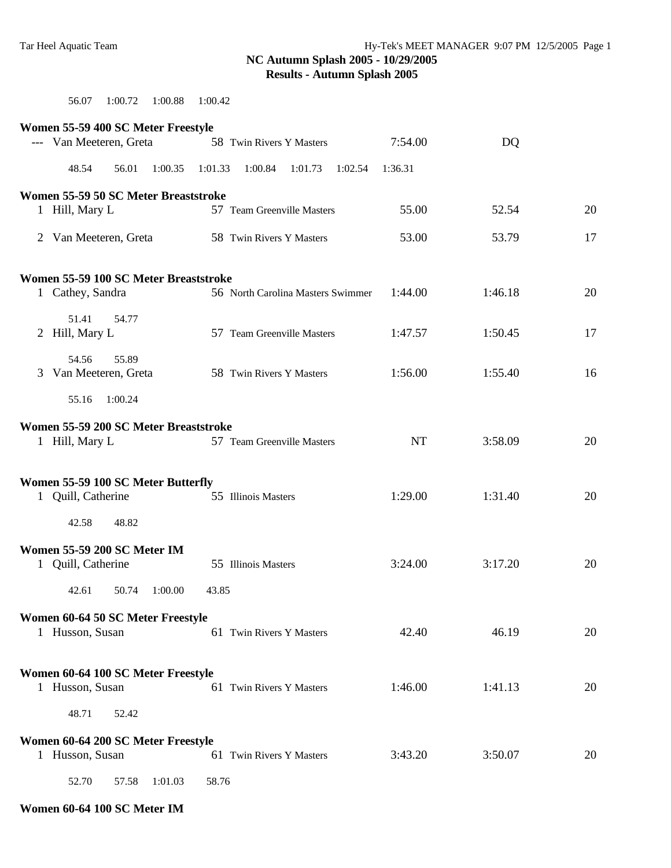56.07 1:00.72 1:00.88 1:00.42

| Women 55-59 400 SC Meter Freestyle                       |         |         |         |                                   |         |         |           |         |    |
|----------------------------------------------------------|---------|---------|---------|-----------------------------------|---------|---------|-----------|---------|----|
| --- Van Meeteren, Greta                                  |         |         |         | 58 Twin Rivers Y Masters          |         |         | 7:54.00   | DQ      |    |
| 48.54                                                    | 56.01   | 1:00.35 | 1:01.33 | 1:00.84                           | 1:01.73 | 1:02.54 | 1:36.31   |         |    |
| Women 55-59 50 SC Meter Breaststroke                     |         |         |         |                                   |         |         |           |         |    |
| 1 Hill, Mary L                                           |         |         |         | 57 Team Greenville Masters        |         |         | 55.00     | 52.54   | 20 |
| 2 Van Meeteren, Greta                                    |         |         |         | 58 Twin Rivers Y Masters          |         |         | 53.00     | 53.79   | 17 |
| Women 55-59 100 SC Meter Breaststroke                    |         |         |         |                                   |         |         |           |         |    |
| 1 Cathey, Sandra                                         |         |         |         | 56 North Carolina Masters Swimmer |         |         | 1:44.00   | 1:46.18 | 20 |
| 51.41<br>2 Hill, Mary L                                  | 54.77   |         |         | 57 Team Greenville Masters        |         |         | 1:47.57   | 1:50.45 | 17 |
| 54.56<br>3 Van Meeteren, Greta                           | 55.89   |         |         | 58 Twin Rivers Y Masters          |         |         | 1:56.00   | 1:55.40 | 16 |
| 55.16                                                    | 1:00.24 |         |         |                                   |         |         |           |         |    |
| Women 55-59 200 SC Meter Breaststroke                    |         |         |         |                                   |         |         |           |         |    |
| 1 Hill, Mary L                                           |         |         |         | 57 Team Greenville Masters        |         |         | <b>NT</b> | 3:58.09 | 20 |
|                                                          |         |         |         |                                   |         |         |           |         |    |
| Women 55-59 100 SC Meter Butterfly<br>1 Quill, Catherine |         |         |         | 55 Illinois Masters               |         |         | 1:29.00   | 1:31.40 | 20 |
| 42.58                                                    | 48.82   |         |         |                                   |         |         |           |         |    |
| Women 55-59 200 SC Meter IM                              |         |         |         |                                   |         |         |           |         |    |
| 1 Quill, Catherine                                       |         |         |         | 55 Illinois Masters               |         |         | 3:24.00   | 3:17.20 | 20 |
| 42.61                                                    | 50.74   | 1:00.00 | 43.85   |                                   |         |         |           |         |    |
| Women 60-64 50 SC Meter Freestyle                        |         |         |         |                                   |         |         |           |         |    |
| 1 Husson, Susan                                          |         |         |         | 61 Twin Rivers Y Masters          |         |         | 42.40     | 46.19   | 20 |
| Women 60-64 100 SC Meter Freestyle                       |         |         |         |                                   |         |         |           |         |    |
| 1 Husson, Susan                                          |         |         |         | 61 Twin Rivers Y Masters          |         |         | 1:46.00   | 1:41.13 | 20 |
| 48.71                                                    | 52.42   |         |         |                                   |         |         |           |         |    |
| Women 60-64 200 SC Meter Freestyle                       |         |         |         |                                   |         |         |           |         |    |
| 1 Husson, Susan                                          |         |         |         | 61 Twin Rivers Y Masters          |         |         | 3:43.20   | 3:50.07 | 20 |
| 52.70                                                    | 57.58   | 1:01.03 | 58.76   |                                   |         |         |           |         |    |

#### **Women 60-64 100 SC Meter IM**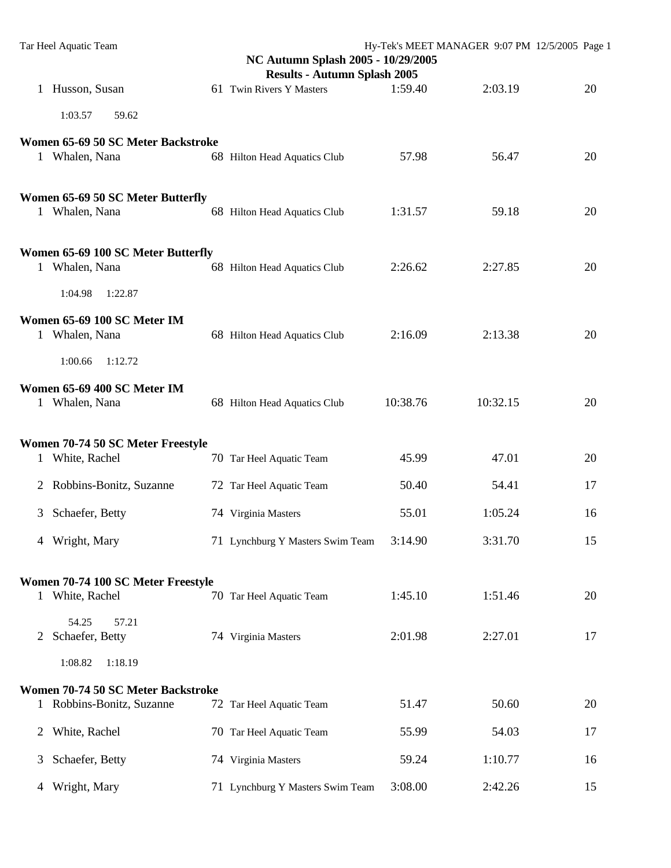|              | Tar Heel Aquatic Team                                         | Hy-Tek's MEET MANAGER 9:07 PM 12/5/2005 Page 1<br>NC Autumn Splash 2005 - 10/29/2005 |                                     |          |          |    |  |  |
|--------------|---------------------------------------------------------------|--------------------------------------------------------------------------------------|-------------------------------------|----------|----------|----|--|--|
|              |                                                               |                                                                                      | <b>Results - Autumn Splash 2005</b> |          |          |    |  |  |
|              | 1 Husson, Susan                                               |                                                                                      | 61 Twin Rivers Y Masters            | 1:59.40  | 2:03.19  | 20 |  |  |
|              | 1:03.57<br>59.62                                              |                                                                                      |                                     |          |          |    |  |  |
|              | Women 65-69 50 SC Meter Backstroke                            |                                                                                      |                                     |          |          |    |  |  |
|              | 1 Whalen, Nana                                                |                                                                                      | 68 Hilton Head Aquatics Club        | 57.98    | 56.47    | 20 |  |  |
|              | Women 65-69 50 SC Meter Butterfly                             |                                                                                      |                                     |          |          |    |  |  |
|              | 1 Whalen, Nana                                                |                                                                                      | 68 Hilton Head Aquatics Club        | 1:31.57  | 59.18    | 20 |  |  |
|              | Women 65-69 100 SC Meter Butterfly                            |                                                                                      |                                     |          |          |    |  |  |
|              | 1 Whalen, Nana                                                |                                                                                      | 68 Hilton Head Aquatics Club        | 2:26.62  | 2:27.85  | 20 |  |  |
|              | 1:04.98<br>1:22.87                                            |                                                                                      |                                     |          |          |    |  |  |
|              | Women 65-69 100 SC Meter IM<br>1 Whalen, Nana                 |                                                                                      | 68 Hilton Head Aquatics Club        | 2:16.09  | 2:13.38  | 20 |  |  |
|              | 1:00.66<br>1:12.72                                            |                                                                                      |                                     |          |          |    |  |  |
|              | Women 65-69 400 SC Meter IM<br>1 Whalen, Nana                 |                                                                                      | 68 Hilton Head Aquatics Club        | 10:38.76 | 10:32.15 | 20 |  |  |
|              |                                                               |                                                                                      |                                     |          |          |    |  |  |
| $\mathbf{1}$ | Women 70-74 50 SC Meter Freestyle<br>White, Rachel            |                                                                                      | 70 Tar Heel Aquatic Team            | 45.99    | 47.01    | 20 |  |  |
|              | 2 Robbins-Bonitz, Suzanne                                     |                                                                                      | 72 Tar Heel Aquatic Team            | 50.40    | 54.41    | 17 |  |  |
| 3            | Schaefer, Betty                                               |                                                                                      | 74 Virginia Masters                 | 55.01    | 1:05.24  | 16 |  |  |
|              | 4 Wright, Mary                                                |                                                                                      | 71 Lynchburg Y Masters Swim Team    | 3:14.90  | 3:31.70  | 15 |  |  |
|              | Women 70-74 100 SC Meter Freestyle                            |                                                                                      |                                     |          |          |    |  |  |
|              | 1 White, Rachel                                               |                                                                                      | 70 Tar Heel Aquatic Team            | 1:45.10  | 1:51.46  | 20 |  |  |
| 2            | 54.25<br>57.21<br>Schaefer, Betty                             |                                                                                      | 74 Virginia Masters                 | 2:01.98  | 2:27.01  | 17 |  |  |
|              | 1:08.82<br>1:18.19                                            |                                                                                      |                                     |          |          |    |  |  |
|              |                                                               |                                                                                      |                                     |          |          |    |  |  |
| $\mathbf{1}$ | Women 70-74 50 SC Meter Backstroke<br>Robbins-Bonitz, Suzanne |                                                                                      | 72 Tar Heel Aquatic Team            | 51.47    | 50.60    | 20 |  |  |
| 2            | White, Rachel                                                 |                                                                                      | 70 Tar Heel Aquatic Team            | 55.99    | 54.03    | 17 |  |  |
| 3            | Schaefer, Betty                                               |                                                                                      | 74 Virginia Masters                 | 59.24    | 1:10.77  | 16 |  |  |
| 4            | Wright, Mary                                                  |                                                                                      | 71 Lynchburg Y Masters Swim Team    | 3:08.00  | 2:42.26  | 15 |  |  |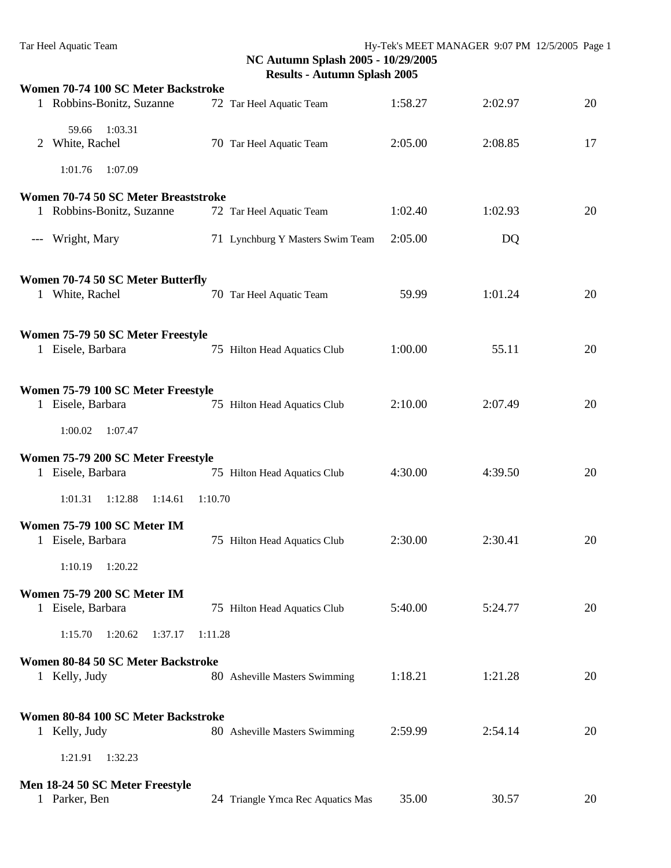|              | Women 70-74 100 SC Meter Backstroke                     |         |                                   |         |         |    |
|--------------|---------------------------------------------------------|---------|-----------------------------------|---------|---------|----|
|              | 1 Robbins-Bonitz, Suzanne                               |         | 72 Tar Heel Aquatic Team          | 1:58.27 | 2:02.97 | 20 |
| 2            | 1:03.31<br>59.66<br>White, Rachel                       |         | 70 Tar Heel Aquatic Team          | 2:05.00 | 2:08.85 | 17 |
|              | 1:01.76<br>1:07.09                                      |         |                                   |         |         |    |
|              | Women 70-74 50 SC Meter Breaststroke                    |         |                                   |         |         |    |
|              | 1 Robbins-Bonitz, Suzanne                               |         | 72 Tar Heel Aquatic Team          | 1:02.40 | 1:02.93 | 20 |
| $---$        | Wright, Mary                                            |         | 71 Lynchburg Y Masters Swim Team  | 2:05.00 | DQ      |    |
|              | Women 70-74 50 SC Meter Butterfly<br>1 White, Rachel    |         | 70 Tar Heel Aquatic Team          | 59.99   | 1:01.24 | 20 |
|              | Women 75-79 50 SC Meter Freestyle<br>1 Eisele, Barbara  |         | 75 Hilton Head Aquatics Club      | 1:00.00 | 55.11   | 20 |
|              | Women 75-79 100 SC Meter Freestyle<br>1 Eisele, Barbara |         | 75 Hilton Head Aquatics Club      | 2:10.00 | 2:07.49 | 20 |
|              | 1:00.02<br>1:07.47                                      |         |                                   |         |         |    |
|              | Women 75-79 200 SC Meter Freestyle<br>1 Eisele, Barbara |         | 75 Hilton Head Aquatics Club      | 4:30.00 | 4:39.50 | 20 |
|              | 1:01.31<br>1:12.88<br>1:14.61                           | 1:10.70 |                                   |         |         |    |
| $\mathbf{1}$ | Women 75-79 100 SC Meter IM<br>Eisele, Barbara          |         | 75 Hilton Head Aquatics Club      | 2:30.00 | 2:30.41 | 20 |
|              | 1:10.19<br>1:20.22                                      |         |                                   |         |         |    |
|              | <b>Women 75-79 200 SC Meter IM</b><br>1 Eisele, Barbara |         | 75 Hilton Head Aquatics Club      | 5:40.00 | 5:24.77 | 20 |
|              | 1:15.70<br>1:20.62<br>1:37.17                           | 1:11.28 |                                   |         |         |    |
|              | Women 80-84 50 SC Meter Backstroke                      |         |                                   |         |         |    |
|              | 1 Kelly, Judy                                           |         | 80 Asheville Masters Swimming     | 1:18.21 | 1:21.28 | 20 |
|              | Women 80-84 100 SC Meter Backstroke                     |         |                                   |         |         |    |
|              | 1 Kelly, Judy                                           |         | 80 Asheville Masters Swimming     | 2:59.99 | 2:54.14 | 20 |
|              | 1:21.91<br>1:32.23                                      |         |                                   |         |         |    |
|              | Men 18-24 50 SC Meter Freestyle                         |         |                                   |         |         |    |
|              | 1 Parker, Ben                                           |         | 24 Triangle Ymca Rec Aquatics Mas | 35.00   | 30.57   | 20 |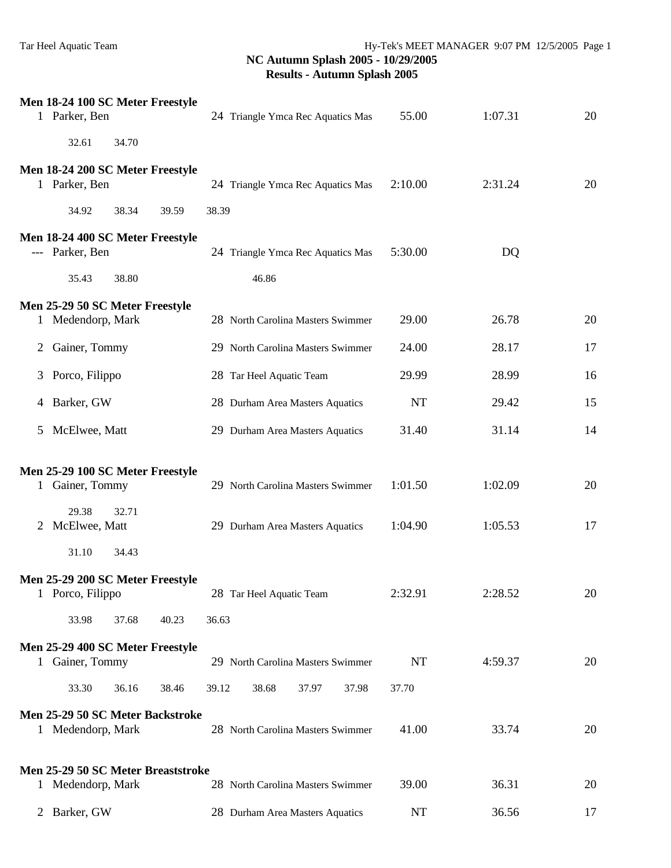|              | Men 18-24 100 SC Meter Freestyle<br>1 Parker, Ben     |       | 24 Triangle Ymca Rec Aquatics Mas | 55.00     | 1:07.31 | 20 |
|--------------|-------------------------------------------------------|-------|-----------------------------------|-----------|---------|----|
|              | 32.61<br>34.70                                        |       |                                   |           |         |    |
|              | Men 18-24 200 SC Meter Freestyle<br>1 Parker, Ben     |       | 24 Triangle Ymca Rec Aquatics Mas | 2:10.00   | 2:31.24 | 20 |
|              | 34.92<br>38.34                                        | 39.59 | 38.39                             |           |         |    |
|              | Men 18-24 400 SC Meter Freestyle<br>--- Parker, Ben   |       | 24 Triangle Ymca Rec Aquatics Mas | 5:30.00   | DQ      |    |
|              | 35.43<br>38.80                                        |       | 46.86                             |           |         |    |
|              | Men 25-29 50 SC Meter Freestyle                       |       |                                   |           |         |    |
|              | 1 Medendorp, Mark                                     |       | 28 North Carolina Masters Swimmer | 29.00     | 26.78   | 20 |
| 2            | Gainer, Tommy                                         |       | 29 North Carolina Masters Swimmer | 24.00     | 28.17   | 17 |
|              | 3 Porco, Filippo                                      |       | 28 Tar Heel Aquatic Team          | 29.99     | 28.99   | 16 |
| 4            | Barker, GW                                            |       | 28 Durham Area Masters Aquatics   | <b>NT</b> | 29.42   | 15 |
| 5            | McElwee, Matt                                         |       | 29 Durham Area Masters Aquatics   | 31.40     | 31.14   | 14 |
|              | Men 25-29 100 SC Meter Freestyle                      |       |                                   |           |         |    |
|              | 1 Gainer, Tommy                                       |       | 29 North Carolina Masters Swimmer | 1:01.50   | 1:02.09 | 20 |
| 2            | 29.38<br>32.71<br>McElwee, Matt                       |       | 29 Durham Area Masters Aquatics   | 1:04.90   | 1:05.53 | 17 |
|              | 31.10<br>34.43                                        |       |                                   |           |         |    |
|              | Men 25-29 200 SC Meter Freestyle<br>1 Porco, Filippo  |       | 28 Tar Heel Aquatic Team          | 2:32.91   | 2:28.52 | 20 |
|              | 33.98<br>37.68                                        | 40.23 | 36.63                             |           |         |    |
| $\mathbf{1}$ | Men 25-29 400 SC Meter Freestyle<br>Gainer, Tommy     |       | 29 North Carolina Masters Swimmer | <b>NT</b> | 4:59.37 | 20 |
|              | 33.30<br>36.16                                        | 38.46 | 38.68<br>39.12<br>37.97<br>37.98  | 37.70     |         |    |
|              | Men 25-29 50 SC Meter Backstroke<br>1 Medendorp, Mark |       | 28 North Carolina Masters Swimmer | 41.00     | 33.74   | 20 |
|              | Men 25-29 50 SC Meter Breaststroke                    |       |                                   |           |         |    |
|              | 1 Medendorp, Mark                                     |       | 28 North Carolina Masters Swimmer | 39.00     | 36.31   | 20 |
|              | 2 Barker, GW                                          |       | 28 Durham Area Masters Aquatics   | NT        | 36.56   | 17 |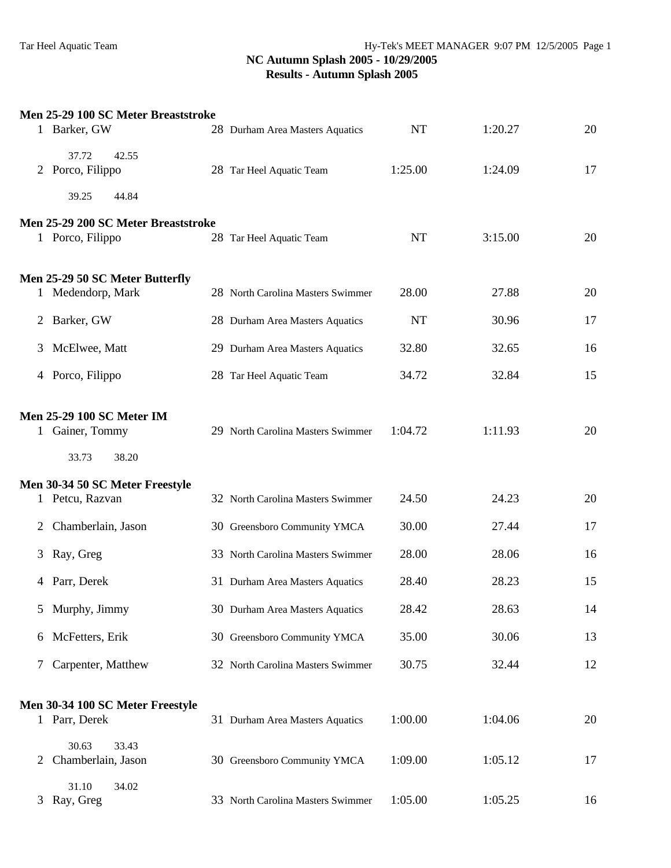|   | Men 25-29 100 SC Meter Breaststroke                                   |                                   |           |         |    |
|---|-----------------------------------------------------------------------|-----------------------------------|-----------|---------|----|
|   | 1 Barker, GW                                                          | 28 Durham Area Masters Aquatics   | <b>NT</b> | 1:20.27 | 20 |
|   | 37.72<br>42.55<br>2 Porco, Filippo                                    | 28 Tar Heel Aquatic Team          | 1:25.00   | 1:24.09 | 17 |
|   | 44.84<br>39.25                                                        |                                   |           |         |    |
|   | Men 25-29 200 SC Meter Breaststroke<br>1 Porco, Filippo               | 28 Tar Heel Aquatic Team          | <b>NT</b> | 3:15.00 | 20 |
|   | Men 25-29 50 SC Meter Butterfly<br>1 Medendorp, Mark                  | 28 North Carolina Masters Swimmer | 28.00     | 27.88   | 20 |
|   | 2 Barker, GW                                                          | 28 Durham Area Masters Aquatics   | <b>NT</b> | 30.96   | 17 |
| 3 | McElwee, Matt                                                         | 29 Durham Area Masters Aquatics   | 32.80     | 32.65   | 16 |
|   | 4 Porco, Filippo                                                      | 28 Tar Heel Aquatic Team          | 34.72     | 32.84   | 15 |
|   | <b>Men 25-29 100 SC Meter IM</b><br>1 Gainer, Tommy<br>33.73<br>38.20 | 29 North Carolina Masters Swimmer | 1:04.72   | 1:11.93 | 20 |
|   |                                                                       |                                   |           |         |    |
|   | Men 30-34 50 SC Meter Freestyle<br>1 Petcu, Razvan                    | 32 North Carolina Masters Swimmer | 24.50     | 24.23   | 20 |
| 2 | Chamberlain, Jason                                                    | 30 Greensboro Community YMCA      | 30.00     | 27.44   | 17 |
| 3 | Ray, Greg                                                             | 33 North Carolina Masters Swimmer | 28.00     | 28.06   | 16 |
|   | 4 Parr, Derek                                                         | 31 Durham Area Masters Aquatics   | 28.40     | 28.23   | 15 |
| 5 | Murphy, Jimmy                                                         | 30 Durham Area Masters Aquatics   | 28.42     | 28.63   | 14 |
| 6 | McFetters, Erik                                                       | 30 Greensboro Community YMCA      | 35.00     | 30.06   | 13 |
| 7 | Carpenter, Matthew                                                    | 32 North Carolina Masters Swimmer | 30.75     | 32.44   | 12 |
|   | Men 30-34 100 SC Meter Freestyle<br>1 Parr, Derek                     | 31 Durham Area Masters Aquatics   | 1:00.00   | 1:04.06 | 20 |
| 2 | 30.63<br>33.43<br>Chamberlain, Jason                                  | 30 Greensboro Community YMCA      | 1:09.00   | 1:05.12 | 17 |
| 3 | 31.10<br>34.02<br>Ray, Greg                                           | 33 North Carolina Masters Swimmer | 1:05.00   | 1:05.25 | 16 |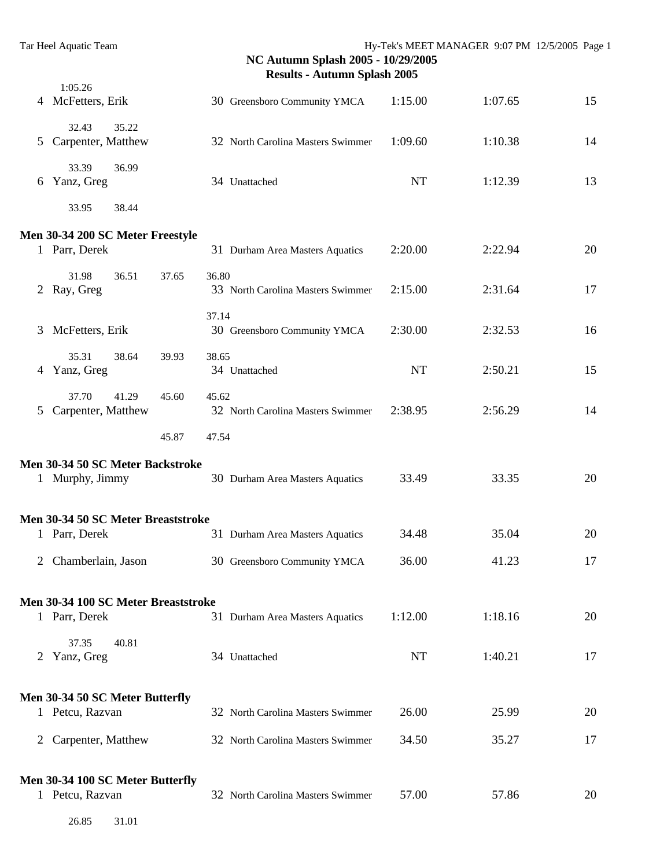|   | 1:05.26<br>4 McFetters, Erik                        |                | 30 Greensboro Community YMCA      | 1:15.00   | 1:07.65 | 15 |
|---|-----------------------------------------------------|----------------|-----------------------------------|-----------|---------|----|
| 5 | 35.22<br>32.43<br>Carpenter, Matthew                |                | 32 North Carolina Masters Swimmer | 1:09.60   | 1:10.38 | 14 |
| 6 | 33.39<br>36.99<br>Yanz, Greg                        |                | 34 Unattached                     | NT        | 1:12.39 | 13 |
|   | 33.95<br>38.44                                      |                |                                   |           |         |    |
|   | Men 30-34 200 SC Meter Freestyle<br>1 Parr, Derek   |                | 31 Durham Area Masters Aquatics   | 2:20.00   | 2:22.94 | 20 |
| 2 | 31.98<br>36.51<br>Ray, Greg                         | 36.80<br>37.65 | 33 North Carolina Masters Swimmer | 2:15.00   | 2:31.64 | 17 |
| 3 | McFetters, Erik                                     | 37.14          | 30 Greensboro Community YMCA      | 2:30.00   | 2:32.53 | 16 |
|   | 35.31<br>38.64<br>4 Yanz, Greg                      | 38.65<br>39.93 | 34 Unattached                     | <b>NT</b> | 2:50.21 | 15 |
| 5 | 37.70<br>41.29<br>Carpenter, Matthew                | 45.60<br>45.62 | 32 North Carolina Masters Swimmer | 2:38.95   | 2:56.29 | 14 |
|   |                                                     | 45.87<br>47.54 |                                   |           |         |    |
|   | Men 30-34 50 SC Meter Backstroke<br>1 Murphy, Jimmy |                | 30 Durham Area Masters Aquatics   | 33.49     | 33.35   | 20 |
|   | Men 30-34 50 SC Meter Breaststroke<br>1 Parr, Derek |                | 31 Durham Area Masters Aquatics   | 34.48     | 35.04   | 20 |
|   | 2 Chamberlain, Jason                                |                | 30 Greensboro Community YMCA      | 36.00     | 41.23   | 17 |
|   | Men 30-34 100 SC Meter Breaststroke                 |                |                                   | 1:12.00   | 1:18.16 | 20 |
|   | 1 Parr, Derek<br>37.35<br>40.81                     |                | 31 Durham Area Masters Aquatics   |           |         |    |
| 2 | Yanz, Greg                                          |                | 34 Unattached                     | NT        | 1:40.21 | 17 |
|   | Men 30-34 50 SC Meter Butterfly<br>1 Petcu, Razvan  |                | 32 North Carolina Masters Swimmer | 26.00     | 25.99   | 20 |
|   | 2 Carpenter, Matthew                                |                | 32 North Carolina Masters Swimmer | 34.50     | 35.27   | 17 |
|   | Men 30-34 100 SC Meter Butterfly<br>1 Petcu, Razvan |                | 32 North Carolina Masters Swimmer | 57.00     | 57.86   | 20 |
|   | 26.85<br>31.01                                      |                |                                   |           |         |    |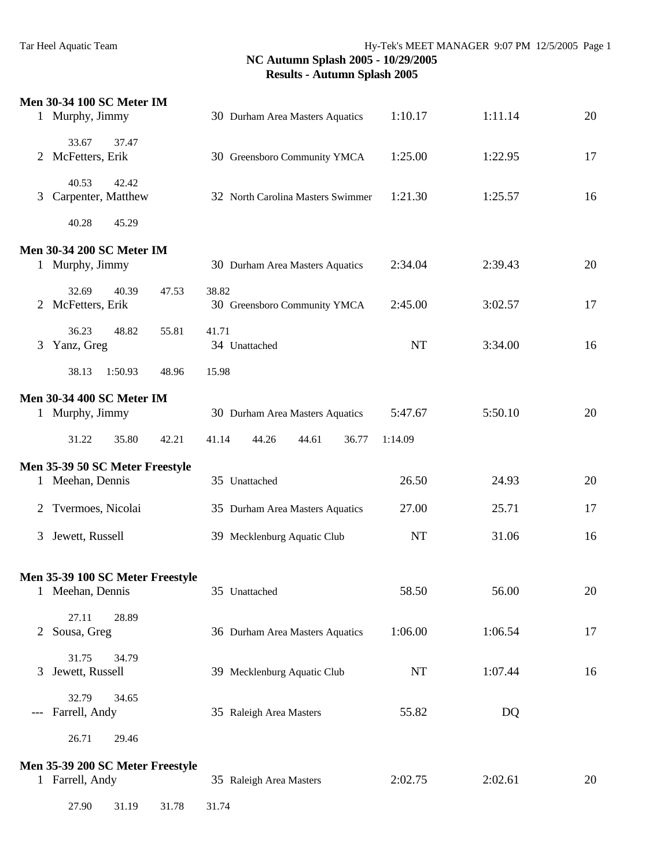|                | <b>Men 30-34 100 SC Meter IM</b><br>1 Murphy, Jimmy |       | 30 Durham Area Masters Aquatics       | 1:10.17   | 1:11.14 | 20 |
|----------------|-----------------------------------------------------|-------|---------------------------------------|-----------|---------|----|
|                | 33.67<br>37.47<br>2 McFetters, Erik                 |       | 30 Greensboro Community YMCA          | 1:25.00   | 1:22.95 | 17 |
| 3              | 40.53<br>42.42<br>Carpenter, Matthew                |       | 32 North Carolina Masters Swimmer     | 1:21.30   | 1:25.57 | 16 |
|                | 40.28<br>45.29                                      |       |                                       |           |         |    |
|                | <b>Men 30-34 200 SC Meter IM</b>                    |       |                                       |           |         |    |
|                | 1 Murphy, Jimmy                                     |       | 30 Durham Area Masters Aquatics       | 2:34.04   | 2:39.43 | 20 |
|                | 32.69<br>40.39<br>2 McFetters, Erik                 | 47.53 | 38.82<br>30 Greensboro Community YMCA | 2:45.00   | 3:02.57 | 17 |
| 3              | 36.23<br>48.82<br>Yanz, Greg                        | 55.81 | 41.71<br>34 Unattached                | NT        | 3:34.00 | 16 |
|                | 38.13<br>1:50.93                                    | 48.96 | 15.98                                 |           |         |    |
|                | <b>Men 30-34 400 SC Meter IM</b>                    |       |                                       |           |         |    |
|                | 1 Murphy, Jimmy                                     |       | 30 Durham Area Masters Aquatics       | 5:47.67   | 5:50.10 | 20 |
|                | 31.22<br>35.80                                      | 42.21 | 41.14<br>44.26<br>44.61<br>36.77      | 1:14.09   |         |    |
|                | Men 35-39 50 SC Meter Freestyle                     |       |                                       |           |         |    |
|                | 1 Meehan, Dennis                                    |       | 35 Unattached                         | 26.50     | 24.93   | 20 |
| $\overline{2}$ | Tvermoes, Nicolai                                   |       | 35 Durham Area Masters Aquatics       | 27.00     | 25.71   | 17 |
| 3              | Jewett, Russell                                     |       | 39 Mecklenburg Aquatic Club           | <b>NT</b> | 31.06   | 16 |
|                | Men 35-39 100 SC Meter Freestyle                    |       |                                       |           |         |    |
|                | 1 Meehan, Dennis                                    |       | 35 Unattached                         | 58.50     | 56.00   | 20 |
| 2              | 27.11<br>28.89<br>Sousa, Greg                       |       | 36 Durham Area Masters Aquatics       | 1:06.00   | 1:06.54 | 17 |
| 3              | 31.75<br>34.79<br>Jewett, Russell                   |       | 39 Mecklenburg Aquatic Club           | NT        | 1:07.44 | 16 |
| $---$          | 32.79<br>34.65<br>Farrell, Andy                     |       | 35 Raleigh Area Masters               | 55.82     | DQ      |    |
|                | 26.71<br>29.46                                      |       |                                       |           |         |    |
|                | Men 35-39 200 SC Meter Freestyle                    |       |                                       |           |         |    |
|                | 1 Farrell, Andy                                     |       | 35 Raleigh Area Masters               | 2:02.75   | 2:02.61 | 20 |
|                | 27.90<br>31.19                                      | 31.78 | 31.74                                 |           |         |    |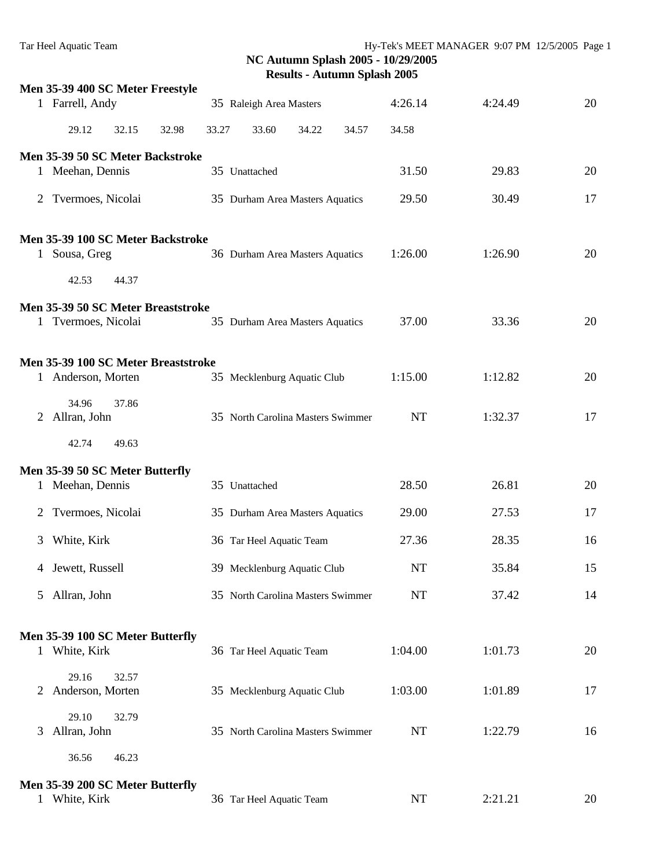|              | Men 35-39 400 SC Meter Freestyle    |       |                                   |           |         |    |
|--------------|-------------------------------------|-------|-----------------------------------|-----------|---------|----|
|              | 1 Farrell, Andy                     |       | 35 Raleigh Area Masters           | 4:26.14   | 4:24.49 | 20 |
|              | 29.12<br>32.98<br>32.15             | 33.27 | 33.60<br>34.22<br>34.57           | 34.58     |         |    |
|              | Men 35-39 50 SC Meter Backstroke    |       |                                   |           |         |    |
|              | 1 Meehan, Dennis                    |       | 35 Unattached                     | 31.50     | 29.83   | 20 |
|              | 2 Tvermoes, Nicolai                 |       | 35 Durham Area Masters Aquatics   | 29.50     | 30.49   | 17 |
|              | Men 35-39 100 SC Meter Backstroke   |       |                                   |           |         |    |
| $\mathbf{1}$ | Sousa, Greg                         |       | 36 Durham Area Masters Aquatics   | 1:26.00   | 1:26.90 | 20 |
|              | 42.53<br>44.37                      |       |                                   |           |         |    |
|              | Men 35-39 50 SC Meter Breaststroke  |       |                                   |           |         |    |
|              | 1 Tvermoes, Nicolai                 |       | 35 Durham Area Masters Aquatics   | 37.00     | 33.36   | 20 |
|              | Men 35-39 100 SC Meter Breaststroke |       |                                   |           |         |    |
|              | 1 Anderson, Morten                  |       | 35 Mecklenburg Aquatic Club       | 1:15.00   | 1:12.82 | 20 |
|              | 34.96<br>37.86                      |       |                                   |           |         |    |
|              | 2 Allran, John                      |       | 35 North Carolina Masters Swimmer | <b>NT</b> | 1:32.37 | 17 |
|              | 42.74<br>49.63                      |       |                                   |           |         |    |
|              | Men 35-39 50 SC Meter Butterfly     |       |                                   |           |         |    |
|              | 1 Meehan, Dennis                    |       | 35 Unattached                     | 28.50     | 26.81   | 20 |
| 2            | Tvermoes, Nicolai                   |       | 35 Durham Area Masters Aquatics   | 29.00     | 27.53   | 17 |
| 3            | White, Kirk                         |       | 36 Tar Heel Aquatic Team          | 27.36     | 28.35   | 16 |
|              | 4 Jewett, Russell                   |       | 39 Mecklenburg Aquatic Club       | <b>NT</b> | 35.84   | 15 |
| 5            | Allran, John                        |       | 35 North Carolina Masters Swimmer | <b>NT</b> | 37.42   | 14 |
|              | Men 35-39 100 SC Meter Butterfly    |       |                                   |           |         |    |
|              | 1 White, Kirk                       |       | 36 Tar Heel Aquatic Team          | 1:04.00   | 1:01.73 | 20 |
|              | 29.16<br>32.57                      |       |                                   |           |         |    |
| 2            | Anderson, Morten                    |       | 35 Mecklenburg Aquatic Club       | 1:03.00   | 1:01.89 | 17 |
| 3            | 29.10<br>32.79<br>Allran, John      |       | 35 North Carolina Masters Swimmer | NT        | 1:22.79 | 16 |
|              | 36.56<br>46.23                      |       |                                   |           |         |    |
|              | Men 35-39 200 SC Meter Butterfly    |       |                                   |           |         |    |
| $\mathbf{1}$ | White, Kirk                         |       | 36 Tar Heel Aquatic Team          | NT        | 2:21.21 | 20 |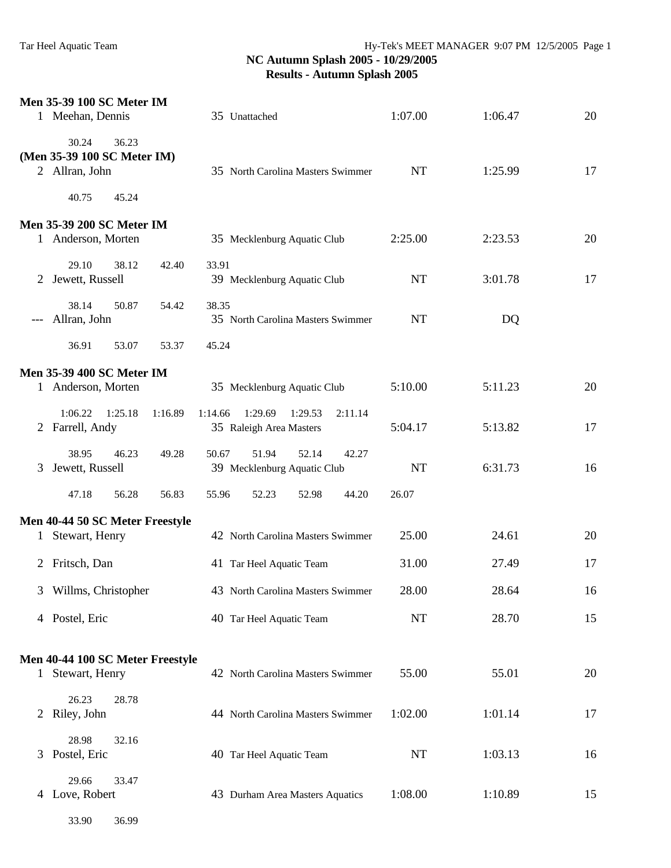33.90 36.99

|       | <b>Men 35-39 100 SC Meter IM</b><br>1 Meehan, Dennis            | 35 Unattached                                                            | 1:07.00   | 1:06.47 | 20 |
|-------|-----------------------------------------------------------------|--------------------------------------------------------------------------|-----------|---------|----|
|       | 30.24<br>36.23<br>(Men 35-39 100 SC Meter IM)<br>2 Allran, John | 35 North Carolina Masters Swimmer                                        | <b>NT</b> | 1:25.99 | 17 |
|       | 40.75<br>45.24                                                  |                                                                          |           |         |    |
|       | <b>Men 35-39 200 SC Meter IM</b><br>1 Anderson, Morten          | 35 Mecklenburg Aquatic Club                                              | 2:25.00   | 2:23.53 | 20 |
| 2     | 29.10<br>38.12<br>Jewett, Russell                               | 42.40<br>33.91<br>39 Mecklenburg Aquatic Club                            | <b>NT</b> | 3:01.78 | 17 |
| $---$ | 38.14<br>50.87<br>Allran, John                                  | 38.35<br>54.42<br>35 North Carolina Masters Swimmer                      | <b>NT</b> | DQ      |    |
|       | 36.91<br>53.07                                                  | 45.24<br>53.37                                                           |           |         |    |
|       | <b>Men 35-39 400 SC Meter IM</b>                                |                                                                          |           |         |    |
|       | 1 Anderson, Morten                                              | 35 Mecklenburg Aquatic Club                                              | 5:10.00   | 5:11.23 | 20 |
|       | 1:06.22<br>1:16.89<br>1:25.18<br>2 Farrell, Andy                | 1:29.69<br>1:29.53<br>1:14.66<br>2:11.14<br>35 Raleigh Area Masters      | 5:04.17   | 5:13.82 | 17 |
| 3     | 38.95<br>46.23<br>Jewett, Russell                               | 51.94<br>52.14<br>49.28<br>50.67<br>42.27<br>39 Mecklenburg Aquatic Club | <b>NT</b> | 6:31.73 | 16 |
|       | 56.28<br>47.18                                                  | 56.83<br>55.96<br>52.23<br>52.98<br>44.20                                | 26.07     |         |    |
|       | Men 40-44 50 SC Meter Freestyle                                 |                                                                          |           |         |    |
|       | 1 Stewart, Henry                                                | 42 North Carolina Masters Swimmer                                        | 25.00     | 24.61   | 20 |
|       | 2 Fritsch, Dan                                                  | 41 Tar Heel Aquatic Team                                                 | 31.00     | 27.49   | 17 |
|       | 3 Willms, Christopher                                           | 43 North Carolina Masters Swimmer                                        | 28.00     | 28.64   | 16 |
|       | 4 Postel, Eric                                                  | 40 Tar Heel Aquatic Team                                                 | NT        | 28.70   | 15 |
|       | Men 40-44 100 SC Meter Freestyle                                |                                                                          |           |         |    |
|       | 1 Stewart, Henry                                                | 42 North Carolina Masters Swimmer                                        | 55.00     | 55.01   | 20 |
|       | 26.23<br>28.78<br>2 Riley, John                                 | 44 North Carolina Masters Swimmer                                        | 1:02.00   | 1:01.14 | 17 |
| 3     | 28.98<br>32.16<br>Postel, Eric                                  | 40 Tar Heel Aquatic Team                                                 | NT        | 1:03.13 | 16 |
|       | 29.66<br>33.47<br>4 Love, Robert                                | 43 Durham Area Masters Aquatics                                          | 1:08.00   | 1:10.89 | 15 |
|       |                                                                 |                                                                          |           |         |    |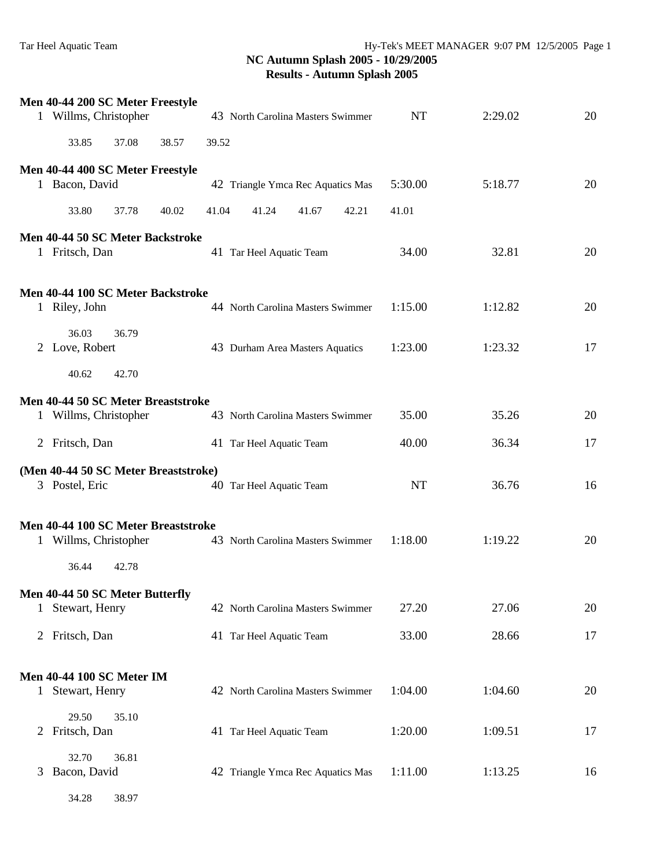|              | Men 40-44 200 SC Meter Freestyle<br>1 Willms, Christopher    | 43 North Carolina Masters Swimmer | <b>NT</b> | 2:29.02 | 20 |
|--------------|--------------------------------------------------------------|-----------------------------------|-----------|---------|----|
|              | 33.85<br>37.08<br>38.57                                      | 39.52                             |           |         |    |
|              | Men 40-44 400 SC Meter Freestyle<br>1 Bacon, David           | 42 Triangle Ymca Rec Aquatics Mas | 5:30.00   | 5:18.77 | 20 |
|              | 33.80<br>37.78<br>40.02                                      | 41.04<br>41.24<br>41.67<br>42.21  | 41.01     |         |    |
|              | Men 40-44 50 SC Meter Backstroke<br>1 Fritsch, Dan           | 41 Tar Heel Aquatic Team          | 34.00     | 32.81   | 20 |
|              | Men 40-44 100 SC Meter Backstroke<br>1 Riley, John           | 44 North Carolina Masters Swimmer | 1:15.00   | 1:12.82 | 20 |
|              | 36.03<br>36.79<br>2 Love, Robert                             | 43 Durham Area Masters Aquatics   | 1:23.00   | 1:23.32 | 17 |
|              | 40.62<br>42.70                                               |                                   |           |         |    |
|              | Men 40-44 50 SC Meter Breaststroke<br>1 Willms, Christopher  | 43 North Carolina Masters Swimmer | 35.00     | 35.26   | 20 |
|              | 2 Fritsch, Dan                                               | 41 Tar Heel Aquatic Team          | 40.00     | 36.34   | 17 |
|              | (Men 40-44 50 SC Meter Breaststroke)<br>3 Postel, Eric       | 40 Tar Heel Aquatic Team          | <b>NT</b> | 36.76   | 16 |
|              | Men 40-44 100 SC Meter Breaststroke<br>1 Willms, Christopher | 43 North Carolina Masters Swimmer | 1:18.00   | 1:19.22 | 20 |
|              | 36.44<br>42.78                                               |                                   |           |         |    |
|              | Men 40-44 50 SC Meter Butterfly<br>1 Stewart, Henry          | 42 North Carolina Masters Swimmer | 27.20     | 27.06   | 20 |
|              | 2 Fritsch, Dan                                               | 41 Tar Heel Aquatic Team          | 33.00     | 28.66   | 17 |
|              | <b>Men 40-44 100 SC Meter IM</b>                             |                                   |           |         |    |
| $\mathbf{1}$ | Stewart, Henry                                               | 42 North Carolina Masters Swimmer | 1:04.00   | 1:04.60 | 20 |
| 2            | 29.50<br>35.10<br>Fritsch, Dan                               | 41 Tar Heel Aquatic Team          | 1:20.00   | 1:09.51 | 17 |
| 3            | 36.81<br>32.70<br>Bacon, David                               | 42 Triangle Ymca Rec Aquatics Mas | 1:11.00   | 1:13.25 | 16 |
|              | 34.28<br>38.97                                               |                                   |           |         |    |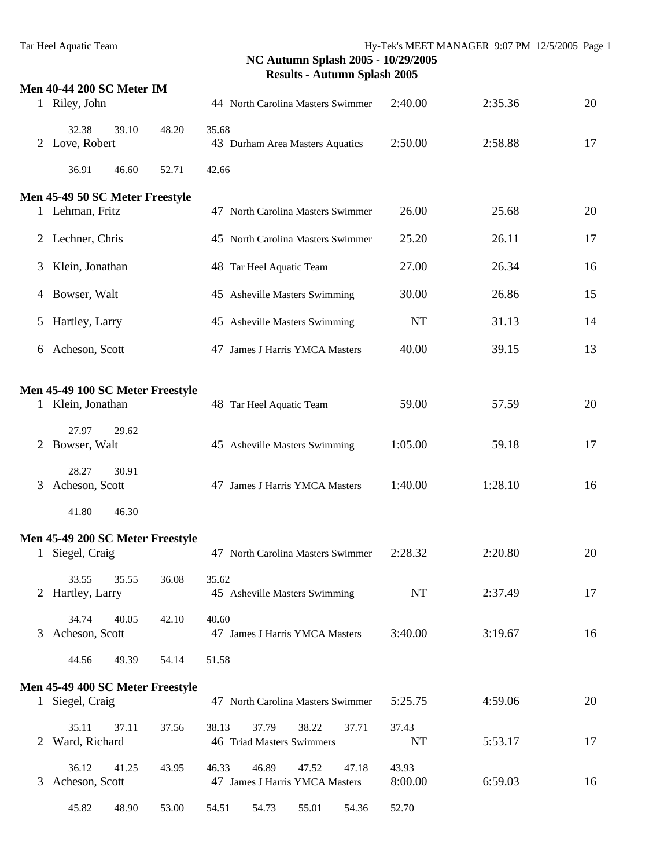|              | <b>Men 40-44 200 SC Meter IM</b>                      |       |                                                                    |                  |         |    |
|--------------|-------------------------------------------------------|-------|--------------------------------------------------------------------|------------------|---------|----|
| $\mathbf{1}$ | Riley, John                                           |       | 44 North Carolina Masters Swimmer                                  | 2:40.00          | 2:35.36 | 20 |
| $2^{\circ}$  | 32.38<br>39.10<br>Love, Robert                        | 48.20 | 35.68<br>43 Durham Area Masters Aquatics                           | 2:50.00          | 2:58.88 | 17 |
|              | 36.91<br>46.60                                        | 52.71 | 42.66                                                              |                  |         |    |
|              | Men 45-49 50 SC Meter Freestyle                       |       |                                                                    |                  |         |    |
|              | 1 Lehman, Fritz                                       |       | 47 North Carolina Masters Swimmer                                  | 26.00            | 25.68   | 20 |
|              | 2 Lechner, Chris                                      |       | 45 North Carolina Masters Swimmer                                  | 25.20            | 26.11   | 17 |
| 3            | Klein, Jonathan                                       |       | 48 Tar Heel Aquatic Team                                           | 27.00            | 26.34   | 16 |
| 4            | Bowser, Walt                                          |       | 45 Asheville Masters Swimming                                      | 30.00            | 26.86   | 15 |
| 5            | Hartley, Larry                                        |       | 45 Asheville Masters Swimming                                      | <b>NT</b>        | 31.13   | 14 |
| 6            | Acheson, Scott                                        |       | 47 James J Harris YMCA Masters                                     | 40.00            | 39.15   | 13 |
|              |                                                       |       |                                                                    |                  |         |    |
|              | Men 45-49 100 SC Meter Freestyle<br>1 Klein, Jonathan |       | 48 Tar Heel Aquatic Team                                           | 59.00            | 57.59   | 20 |
| 2            | 27.97<br>29.62<br>Bowser, Walt                        |       | 45 Asheville Masters Swimming                                      | 1:05.00          | 59.18   | 17 |
| 3            | 28.27<br>30.91<br>Acheson, Scott                      |       | 47 James J Harris YMCA Masters                                     | 1:40.00          | 1:28.10 | 16 |
|              | 46.30<br>41.80                                        |       |                                                                    |                  |         |    |
|              | Men 45-49 200 SC Meter Freestyle                      |       |                                                                    |                  |         |    |
| $\mathbf{1}$ | Siegel, Craig                                         |       | 47 North Carolina Masters Swimmer                                  | 2:28.32          | 2:20.80 | 20 |
|              | 33.55<br>35.55<br>2 Hartley, Larry                    | 36.08 | 35.62<br>45 Asheville Masters Swimming                             | <b>NT</b>        | 2:37.49 | 17 |
|              | 34.74<br>40.05                                        | 42.10 | 40.60                                                              |                  |         |    |
| 3            | Acheson, Scott                                        |       | 47 James J Harris YMCA Masters                                     | 3:40.00          | 3:19.67 | 16 |
|              | 44.56<br>49.39                                        | 54.14 | 51.58                                                              |                  |         |    |
|              | Men 45-49 400 SC Meter Freestyle                      |       |                                                                    |                  |         |    |
| $\mathbf{1}$ | Siegel, Craig                                         |       | 47 North Carolina Masters Swimmer                                  | 5:25.75          | 4:59.06 | 20 |
|              | 35.11<br>37.11<br>Ward, Richard                       | 37.56 | 38.13<br>38.22<br>37.79<br>37.71<br>46 Triad Masters Swimmers      | 37.43<br>NT      | 5:53.17 | 17 |
| 3            | 36.12<br>41.25<br>Acheson, Scott                      | 43.95 | 46.33<br>46.89<br>47.18<br>47.52<br>47 James J Harris YMCA Masters | 43.93<br>8:00.00 | 6:59.03 | 16 |
|              | 45.82<br>48.90                                        | 53.00 | 54.51<br>54.73<br>55.01<br>54.36                                   | 52.70            |         |    |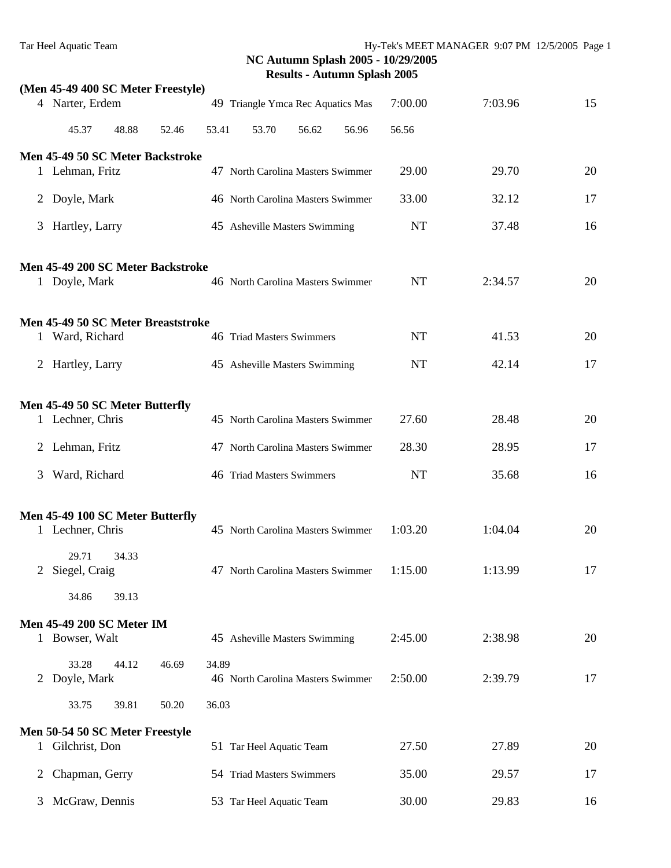|   | (Men 45-49 400 SC Meter Freestyle)                   |       |       |       |                                           |       |       |           |         |    |
|---|------------------------------------------------------|-------|-------|-------|-------------------------------------------|-------|-------|-----------|---------|----|
|   | 4 Narter, Erdem                                      |       |       |       | 49 Triangle Ymca Rec Aquatics Mas         |       |       | 7:00.00   | 7:03.96 | 15 |
|   | 45.37                                                | 48.88 | 52.46 | 53.41 | 53.70                                     | 56.62 | 56.96 | 56.56     |         |    |
|   | Men 45-49 50 SC Meter Backstroke                     |       |       |       |                                           |       |       |           |         |    |
|   | 1 Lehman, Fritz                                      |       |       |       | 47 North Carolina Masters Swimmer         |       |       | 29.00     | 29.70   | 20 |
|   | 2 Doyle, Mark                                        |       |       |       | 46 North Carolina Masters Swimmer         |       |       | 33.00     | 32.12   | 17 |
| 3 | Hartley, Larry                                       |       |       |       | 45 Asheville Masters Swimming             |       |       | <b>NT</b> | 37.48   | 16 |
|   | Men 45-49 200 SC Meter Backstroke                    |       |       |       |                                           |       |       |           |         |    |
|   | 1 Doyle, Mark                                        |       |       |       | 46 North Carolina Masters Swimmer         |       |       | <b>NT</b> | 2:34.57 | 20 |
|   | Men 45-49 50 SC Meter Breaststroke                   |       |       |       |                                           |       |       |           |         |    |
|   | 1 Ward, Richard                                      |       |       |       | 46 Triad Masters Swimmers                 |       |       | NT        | 41.53   | 20 |
|   | 2 Hartley, Larry                                     |       |       |       | 45 Asheville Masters Swimming             |       |       | <b>NT</b> | 42.14   | 17 |
|   |                                                      |       |       |       |                                           |       |       |           |         |    |
|   | Men 45-49 50 SC Meter Butterfly<br>1 Lechner, Chris  |       |       |       | 45 North Carolina Masters Swimmer         |       |       | 27.60     | 28.48   | 20 |
|   | 2 Lehman, Fritz                                      |       |       |       | 47 North Carolina Masters Swimmer         |       |       | 28.30     | 28.95   | 17 |
| 3 | Ward, Richard                                        |       |       |       | 46 Triad Masters Swimmers                 |       |       | <b>NT</b> | 35.68   | 16 |
|   |                                                      |       |       |       |                                           |       |       |           |         |    |
|   | Men 45-49 100 SC Meter Butterfly<br>1 Lechner, Chris |       |       |       | 45 North Carolina Masters Swimmer         |       |       | 1:03.20   | 1:04.04 | 20 |
|   | 29.71<br>2 Siegel, Craig                             | 34.33 |       |       | 47 North Carolina Masters Swimmer 1:15.00 |       |       |           | 1:13.99 | 17 |
|   | 34.86                                                | 39.13 |       |       |                                           |       |       |           |         |    |
|   | Men 45-49 200 SC Meter IM                            |       |       |       |                                           |       |       |           |         |    |
|   | 1 Bowser, Walt                                       |       |       |       | 45 Asheville Masters Swimming             |       |       | 2:45.00   | 2:38.98 | 20 |
|   | 33.28<br>2 Doyle, Mark                               | 44.12 | 46.69 | 34.89 | 46 North Carolina Masters Swimmer         |       |       | 2:50.00   | 2:39.79 | 17 |
|   | 33.75                                                | 39.81 | 50.20 | 36.03 |                                           |       |       |           |         |    |
|   | Men 50-54 50 SC Meter Freestyle                      |       |       |       |                                           |       |       |           |         |    |
|   | 1 Gilchrist, Don                                     |       |       |       | 51 Tar Heel Aquatic Team                  |       |       | 27.50     | 27.89   | 20 |
| 2 | Chapman, Gerry                                       |       |       |       | 54 Triad Masters Swimmers                 |       |       | 35.00     | 29.57   | 17 |
| 3 | McGraw, Dennis                                       |       |       |       | 53 Tar Heel Aquatic Team                  |       |       | 30.00     | 29.83   | 16 |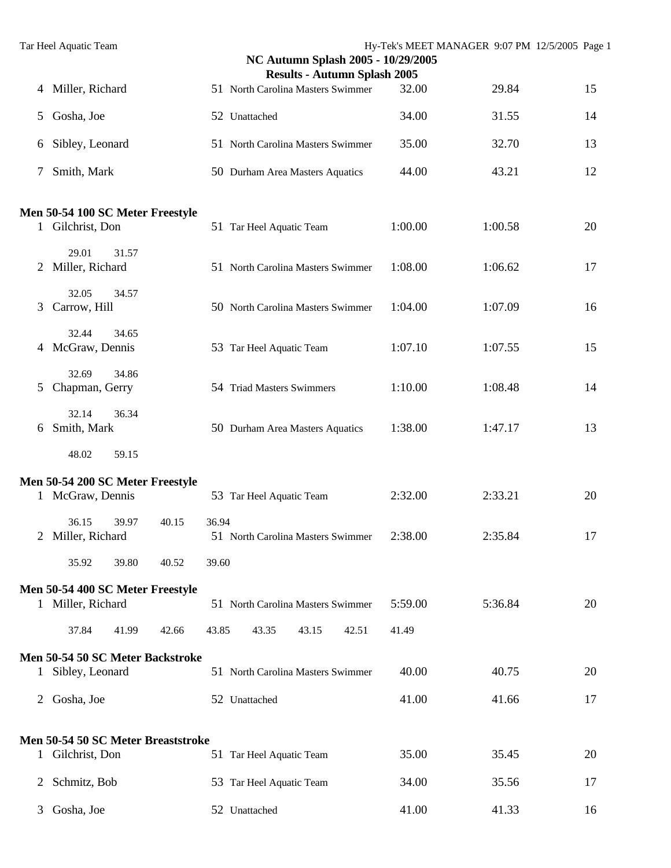|                | Tar Heel Aquatic Team                                |                | NC Autumn Splash 2005 - 10/29/2005  |         | Hy-Tek's MEET MANAGER 9:07 PM 12/5/2005 Page 1 |    |
|----------------|------------------------------------------------------|----------------|-------------------------------------|---------|------------------------------------------------|----|
|                |                                                      |                | <b>Results - Autumn Splash 2005</b> |         |                                                |    |
| 4              | Miller, Richard                                      |                | 51 North Carolina Masters Swimmer   | 32.00   | 29.84                                          | 15 |
| 5              | Gosha, Joe                                           |                | 52 Unattached                       | 34.00   | 31.55                                          | 14 |
| 6              | Sibley, Leonard                                      |                | 51 North Carolina Masters Swimmer   | 35.00   | 32.70                                          | 13 |
| 7              | Smith, Mark                                          |                | 50 Durham Area Masters Aquatics     | 44.00   | 43.21                                          | 12 |
|                |                                                      |                |                                     |         |                                                |    |
|                | Men 50-54 100 SC Meter Freestyle<br>1 Gilchrist, Don |                | 51 Tar Heel Aquatic Team            | 1:00.00 | 1:00.58                                        | 20 |
| 2              | 29.01<br>31.57<br>Miller, Richard                    |                | 51 North Carolina Masters Swimmer   | 1:08.00 | 1:06.62                                        | 17 |
| 3              | 32.05<br>34.57<br>Carrow, Hill                       |                | 50 North Carolina Masters Swimmer   | 1:04.00 | 1:07.09                                        | 16 |
|                | 32.44<br>34.65<br>4 McGraw, Dennis                   |                | 53 Tar Heel Aquatic Team            | 1:07.10 | 1:07.55                                        | 15 |
| 5              | 32.69<br>34.86<br>Chapman, Gerry                     |                | 54 Triad Masters Swimmers           | 1:10.00 | 1:08.48                                        | 14 |
| 6              | 32.14<br>36.34<br>Smith, Mark                        |                | 50 Durham Area Masters Aquatics     | 1:38.00 | 1:47.17                                        | 13 |
|                | 48.02<br>59.15                                       |                |                                     |         |                                                |    |
|                | Men 50-54 200 SC Meter Freestyle                     |                |                                     |         |                                                |    |
|                | 1 McGraw, Dennis                                     |                | 53 Tar Heel Aquatic Team            | 2:32.00 | 2:33.21                                        | 20 |
|                | 36.15<br>39.97<br>2 Miller, Richard                  | 40.15<br>36.94 | 51 North Carolina Masters Swimmer   | 2:38.00 | 2:35.84                                        | 17 |
|                | 35.92<br>39.80                                       | 40.52<br>39.60 |                                     |         |                                                |    |
|                | Men 50-54 400 SC Meter Freestyle                     |                |                                     |         |                                                |    |
|                | 1 Miller, Richard                                    |                | 51 North Carolina Masters Swimmer   | 5:59.00 | 5:36.84                                        | 20 |
|                | 37.84<br>41.99                                       | 42.66<br>43.85 | 43.15<br>42.51<br>43.35             | 41.49   |                                                |    |
|                | Men 50-54 50 SC Meter Backstroke                     |                |                                     |         |                                                |    |
| $\mathbf{1}$   | Sibley, Leonard                                      |                | 51 North Carolina Masters Swimmer   | 40.00   | 40.75                                          | 20 |
| $\overline{2}$ | Gosha, Joe                                           |                | 52 Unattached                       | 41.00   | 41.66                                          | 17 |
|                | Men 50-54 50 SC Meter Breaststroke                   |                |                                     |         |                                                |    |
| $\mathbf{1}$   | Gilchrist, Don                                       |                | 51 Tar Heel Aquatic Team            | 35.00   | 35.45                                          | 20 |
| 2              | Schmitz, Bob                                         |                | 53 Tar Heel Aquatic Team            | 34.00   | 35.56                                          | 17 |
| 3              | Gosha, Joe                                           |                | 52 Unattached                       | 41.00   | 41.33                                          | 16 |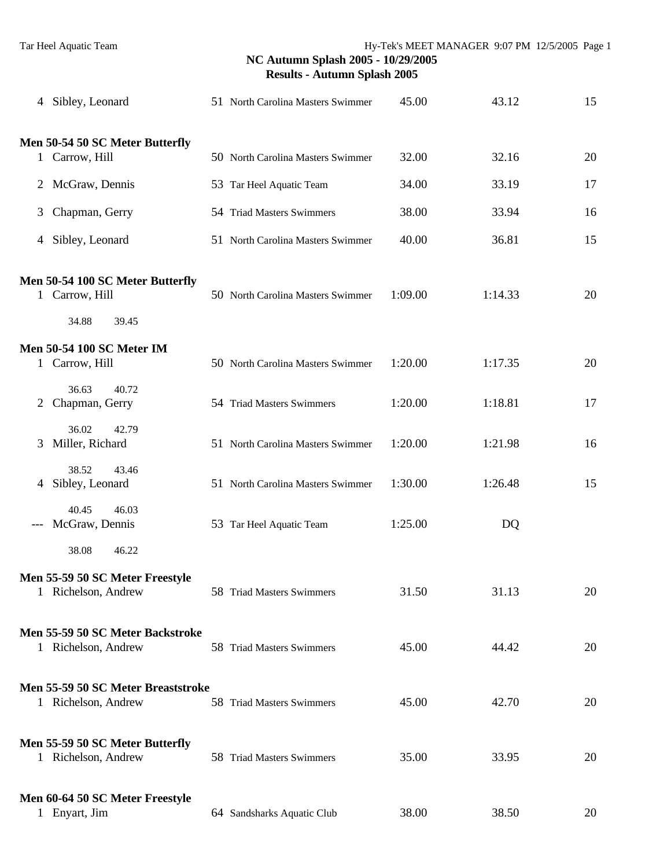|   | 4 Sibley, Leonard                                         | 51 North Carolina Masters Swimmer | 45.00   | 43.12   | 15 |
|---|-----------------------------------------------------------|-----------------------------------|---------|---------|----|
|   | Men 50-54 50 SC Meter Butterfly                           |                                   |         |         |    |
|   | 1 Carrow, Hill                                            | 50 North Carolina Masters Swimmer | 32.00   | 32.16   | 20 |
|   | 2 McGraw, Dennis                                          | 53 Tar Heel Aquatic Team          | 34.00   | 33.19   | 17 |
| 3 | Chapman, Gerry                                            | 54 Triad Masters Swimmers         | 38.00   | 33.94   | 16 |
|   | 4 Sibley, Leonard                                         | 51 North Carolina Masters Swimmer | 40.00   | 36.81   | 15 |
|   | Men 50-54 100 SC Meter Butterfly<br>1 Carrow, Hill        | 50 North Carolina Masters Swimmer | 1:09.00 | 1:14.33 | 20 |
|   | 34.88<br>39.45                                            |                                   |         |         |    |
|   | <b>Men 50-54 100 SC Meter IM</b><br>1 Carrow, Hill        | 50 North Carolina Masters Swimmer | 1:20.00 | 1:17.35 | 20 |
| 2 | 36.63<br>40.72<br>Chapman, Gerry                          | 54 Triad Masters Swimmers         | 1:20.00 | 1:18.81 | 17 |
| 3 | 36.02<br>42.79<br>Miller, Richard                         | 51 North Carolina Masters Swimmer | 1:20.00 | 1:21.98 | 16 |
|   | 38.52<br>43.46<br>4 Sibley, Leonard                       | 51 North Carolina Masters Swimmer | 1:30.00 | 1:26.48 | 15 |
|   | 40.45<br>46.03<br>McGraw, Dennis                          | 53 Tar Heel Aquatic Team          | 1:25.00 | DQ      |    |
|   | 38.08<br>46.22                                            |                                   |         |         |    |
|   | Men 55-59 50 SC Meter Freestyle<br>1 Richelson, Andrew    | 58 Triad Masters Swimmers         | 31.50   | 31.13   | 20 |
|   | Men 55-59 50 SC Meter Backstroke<br>1 Richelson, Andrew   | 58 Triad Masters Swimmers         | 45.00   | 44.42   | 20 |
|   | Men 55-59 50 SC Meter Breaststroke<br>1 Richelson, Andrew | 58 Triad Masters Swimmers         | 45.00   | 42.70   | 20 |
|   | Men 55-59 50 SC Meter Butterfly<br>1 Richelson, Andrew    | 58 Triad Masters Swimmers         | 35.00   | 33.95   | 20 |
|   | Men 60-64 50 SC Meter Freestyle<br>1 Enyart, Jim          | 64 Sandsharks Aquatic Club        | 38.00   | 38.50   | 20 |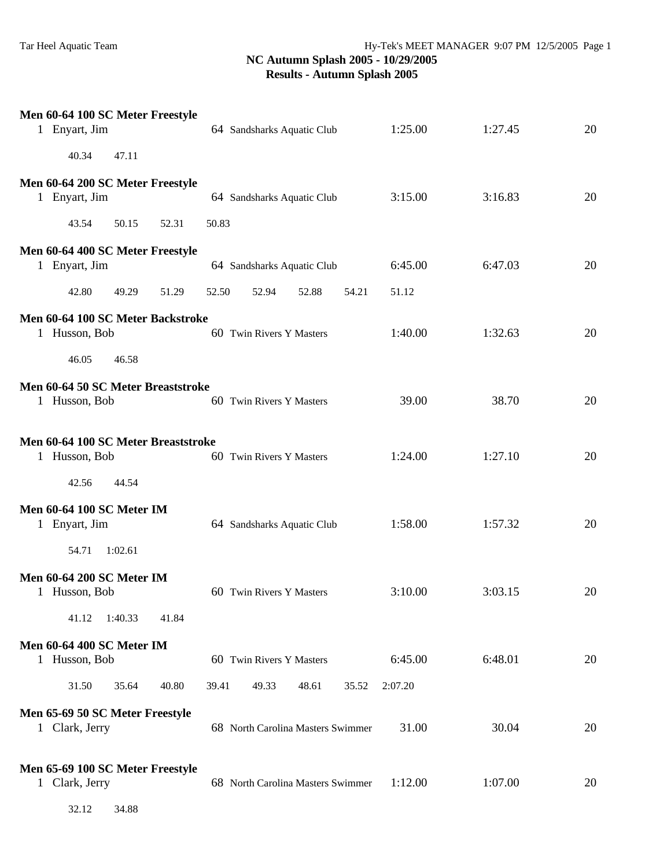| $\mathbf{1}$ | Men 60-64 100 SC Meter Freestyle<br>Enyart, Jim                        | 64 Sandsharks Aquatic Club        | 1:25.00 | 1:27.45 | 20 |
|--------------|------------------------------------------------------------------------|-----------------------------------|---------|---------|----|
|              | 40.34<br>47.11                                                         |                                   |         |         |    |
|              | Men 60-64 200 SC Meter Freestyle<br>1 Enyart, Jim                      | 64 Sandsharks Aquatic Club        | 3:15.00 | 3:16.83 | 20 |
|              | 43.54<br>50.15<br>52.31                                                | 50.83                             |         |         |    |
|              | Men 60-64 400 SC Meter Freestyle<br>1 Enyart, Jim                      | 64 Sandsharks Aquatic Club        | 6:45.00 | 6:47.03 | 20 |
|              | 42.80<br>49.29<br>51.29                                                | 52.50<br>52.94<br>52.88<br>54.21  | 51.12   |         |    |
| $\mathbf{1}$ | Men 60-64 100 SC Meter Backstroke<br>Husson, Bob<br>46.05<br>46.58     | 60 Twin Rivers Y Masters          | 1:40.00 | 1:32.63 | 20 |
|              | Men 60-64 50 SC Meter Breaststroke<br>1 Husson, Bob                    | 60 Twin Rivers Y Masters          | 39.00   | 38.70   | 20 |
|              | Men 60-64 100 SC Meter Breaststroke<br>1 Husson, Bob<br>42.56<br>44.54 | 60 Twin Rivers Y Masters          | 1:24.00 | 1:27.10 | 20 |
| $\mathbf{1}$ | <b>Men 60-64 100 SC Meter IM</b><br>Enyart, Jim                        | 64 Sandsharks Aquatic Club        | 1:58.00 | 1:57.32 | 20 |
|              | 54.71<br>1:02.61                                                       |                                   |         |         |    |
|              | <b>Men 60-64 200 SC Meter IM</b><br>1 Husson, Bob                      | 60 Twin Rivers Y Masters          | 3:10.00 | 3:03.15 | 20 |
|              | 41.12<br>1:40.33<br>41.84                                              |                                   |         |         |    |
|              | <b>Men 60-64 400 SC Meter IM</b><br>1 Husson, Bob                      | 60 Twin Rivers Y Masters          | 6:45.00 | 6:48.01 | 20 |
|              | 31.50<br>35.64<br>40.80                                                | 39.41<br>49.33<br>48.61<br>35.52  | 2:07.20 |         |    |
|              | Men 65-69 50 SC Meter Freestyle<br>1 Clark, Jerry                      | 68 North Carolina Masters Swimmer | 31.00   | 30.04   | 20 |
|              | Men 65-69 100 SC Meter Freestyle<br>1 Clark, Jerry                     | 68 North Carolina Masters Swimmer | 1:12.00 | 1:07.00 | 20 |

32.12 34.88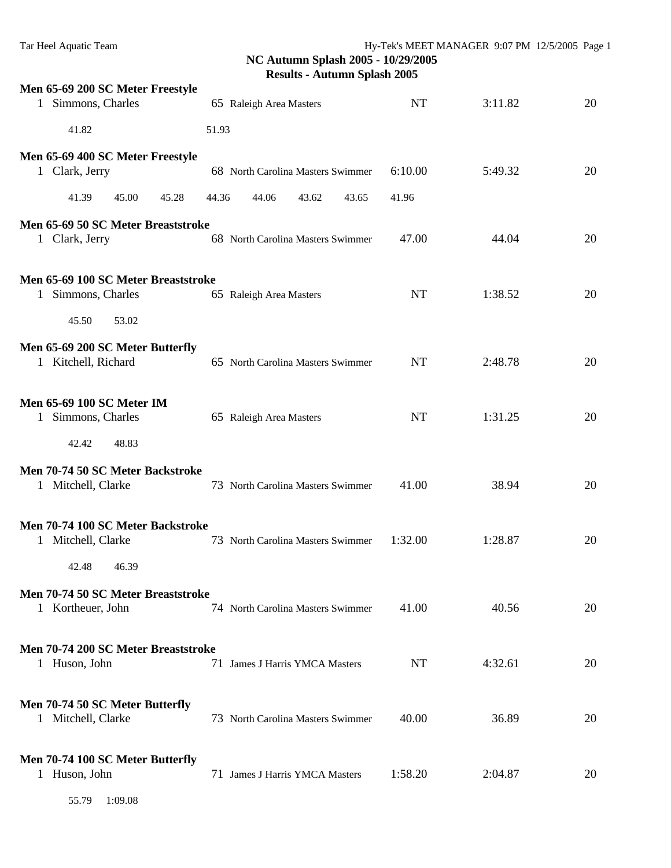| Men 65-69 200 SC Meter Freestyle<br>Simmons, Charles<br>1            | 65 Raleigh Area Masters           | NT        | 3:11.82 | 20 |
|----------------------------------------------------------------------|-----------------------------------|-----------|---------|----|
| 41.82                                                                | 51.93                             |           |         |    |
| Men 65-69 400 SC Meter Freestyle<br>1 Clark, Jerry                   | 68 North Carolina Masters Swimmer | 6:10.00   | 5:49.32 | 20 |
| 41.39<br>45.00<br>45.28                                              | 44.36<br>44.06<br>43.62<br>43.65  | 41.96     |         |    |
| Men 65-69 50 SC Meter Breaststroke<br>1 Clark, Jerry                 | 68 North Carolina Masters Swimmer | 47.00     | 44.04   | 20 |
| Men 65-69 100 SC Meter Breaststroke<br>Simmons, Charles<br>1         | 65 Raleigh Area Masters           | <b>NT</b> | 1:38.52 | 20 |
| 45.50<br>53.02                                                       |                                   |           |         |    |
| Men 65-69 200 SC Meter Butterfly<br>1 Kitchell, Richard              | 65 North Carolina Masters Swimmer | NT        | 2:48.78 | 20 |
| <b>Men 65-69 100 SC Meter IM</b><br>Simmons, Charles<br>$\mathbf{1}$ | 65 Raleigh Area Masters           | <b>NT</b> | 1:31.25 | 20 |
| 42.42<br>48.83                                                       |                                   |           |         |    |
| Men 70-74 50 SC Meter Backstroke<br>1 Mitchell, Clarke               | 73 North Carolina Masters Swimmer | 41.00     | 38.94   | 20 |
| Men 70-74 100 SC Meter Backstroke<br>1 Mitchell, Clarke              | 73 North Carolina Masters Swimmer | 1:32.00   | 1:28.87 | 20 |
| 42.48<br>46.39                                                       |                                   |           |         |    |
| Men 70-74 50 SC Meter Breaststroke<br>1 Kortheuer, John              | 74 North Carolina Masters Swimmer | 41.00     | 40.56   | 20 |
| Men 70-74 200 SC Meter Breaststroke<br>1 Huson, John                 | 71 James J Harris YMCA Masters    | NT        | 4:32.61 | 20 |
| Men 70-74 50 SC Meter Butterfly<br>1 Mitchell, Clarke                | 73 North Carolina Masters Swimmer | 40.00     | 36.89   | 20 |
| Men 70-74 100 SC Meter Butterfly<br>1 Huson, John                    | 71 James J Harris YMCA Masters    | 1:58.20   | 2:04.87 | 20 |
| 55.79<br>1:09.08                                                     |                                   |           |         |    |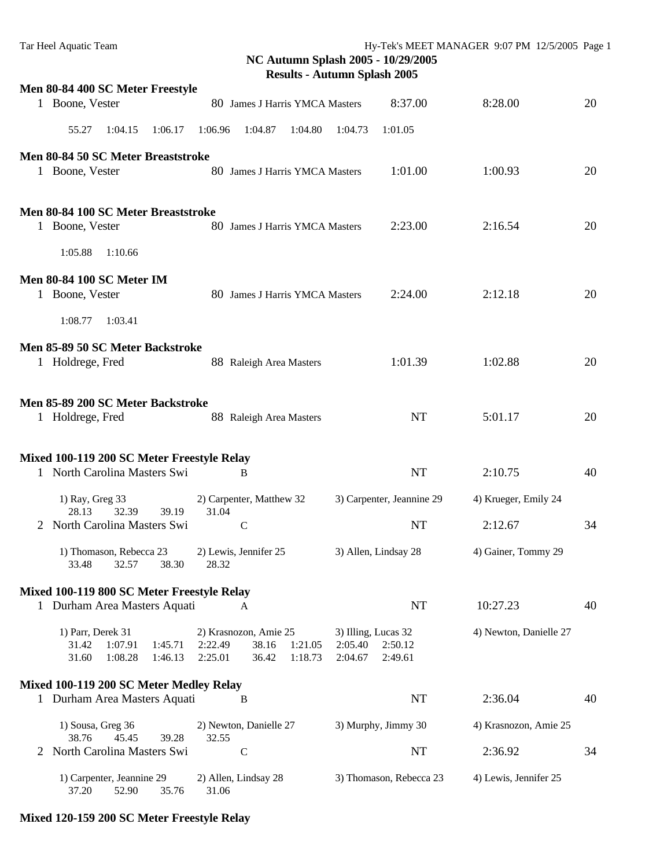|   |                                                                                 |                                                                                     | $\frac{1}{2}$ $\frac{1}{2}$                                     |                        |    |
|---|---------------------------------------------------------------------------------|-------------------------------------------------------------------------------------|-----------------------------------------------------------------|------------------------|----|
|   | Men 80-84 400 SC Meter Freestyle<br>1 Boone, Vester                             | 80 James J Harris YMCA Masters                                                      | 8:37.00                                                         | 8:28.00                | 20 |
|   | 55.27<br>1:04.15<br>1:06.17                                                     | 1:06.96<br>1:04.87<br>1:04.80                                                       | 1:04.73<br>1:01.05                                              |                        |    |
|   |                                                                                 |                                                                                     |                                                                 |                        |    |
|   | Men 80-84 50 SC Meter Breaststroke<br>1 Boone, Vester                           | 80 James J Harris YMCA Masters                                                      | 1:01.00                                                         | 1:00.93                | 20 |
|   | Men 80-84 100 SC Meter Breaststroke<br>1 Boone, Vester                          | 80 James J Harris YMCA Masters                                                      | 2:23.00                                                         | 2:16.54                | 20 |
|   | 1:05.88<br>1:10.66                                                              |                                                                                     |                                                                 |                        |    |
|   | <b>Men 80-84 100 SC Meter IM</b><br>1 Boone, Vester                             | 80 James J Harris YMCA Masters                                                      | 2:24.00                                                         | 2:12.18                | 20 |
|   | 1:08.77<br>1:03.41                                                              |                                                                                     |                                                                 |                        |    |
|   | Men 85-89 50 SC Meter Backstroke<br>1 Holdrege, Fred                            | 88 Raleigh Area Masters                                                             | 1:01.39                                                         | 1:02.88                | 20 |
|   | Men 85-89 200 SC Meter Backstroke                                               |                                                                                     |                                                                 |                        |    |
|   | 1 Holdrege, Fred                                                                | 88 Raleigh Area Masters                                                             | <b>NT</b>                                                       | 5:01.17                | 20 |
|   |                                                                                 |                                                                                     |                                                                 |                        |    |
|   | Mixed 100-119 200 SC Meter Freestyle Relay<br>1 North Carolina Masters Swi      | B                                                                                   | <b>NT</b>                                                       | 2:10.75                | 40 |
|   |                                                                                 |                                                                                     |                                                                 |                        |    |
|   | 1) Ray, Greg 33<br>28.13<br>32.39<br>39.19                                      | 2) Carpenter, Matthew 32<br>31.04                                                   | 3) Carpenter, Jeannine 29                                       | 4) Krueger, Emily 24   |    |
| 2 | North Carolina Masters Swi                                                      | $\mathsf{C}$                                                                        | <b>NT</b>                                                       | 2:12.67                | 34 |
|   | 1) Thomason, Rebecca 23<br>33.48<br>32.57<br>38.30                              | 2) Lewis, Jennifer 25<br>28.32                                                      | 3) Allen, Lindsay 28                                            | 4) Gainer, Tommy 29    |    |
|   | Mixed 100-119 800 SC Meter Freestyle Relay                                      |                                                                                     |                                                                 |                        |    |
|   | 1 Durham Area Masters Aquati                                                    | A                                                                                   | <b>NT</b>                                                       | 10:27.23               | 40 |
|   | 1) Parr, Derek 31<br>31.42<br>1:07.91<br>1:45.71<br>31.60<br>1:08.28<br>1:46.13 | 2) Krasnozon, Amie 25<br>38.16<br>2:22.49<br>1:21.05<br>2:25.01<br>36.42<br>1:18.73 | 3) Illing, Lucas 32<br>2:05.40<br>2:50.12<br>2:04.67<br>2:49.61 | 4) Newton, Danielle 27 |    |
|   | Mixed 100-119 200 SC Meter Medley Relay                                         |                                                                                     |                                                                 |                        |    |
|   | 1 Durham Area Masters Aquati                                                    | B                                                                                   | <b>NT</b>                                                       | 2:36.04                | 40 |
|   | 1) Sousa, Greg 36<br>45.45<br>38.76<br>39.28                                    | 2) Newton, Danielle 27<br>32.55                                                     | 3) Murphy, Jimmy 30                                             | 4) Krasnozon, Amie 25  |    |
|   | North Carolina Masters Swi                                                      | $\mathbf C$                                                                         | <b>NT</b>                                                       | 2:36.92                | 34 |
|   | 1) Carpenter, Jeannine 29<br>52.90<br>37.20<br>35.76                            | 2) Allen, Lindsay 28<br>31.06                                                       | 3) Thomason, Rebecca 23                                         | 4) Lewis, Jennifer 25  |    |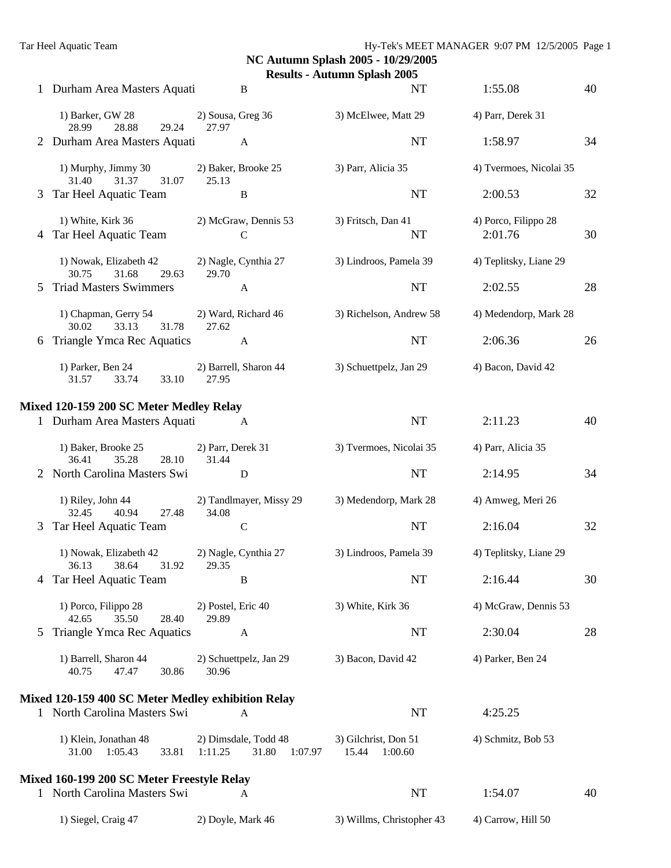|               |                                                                     |                                                     | $x_0$ $\ldots$ $x_n$ $\ldots$ $x_n$ $\ldots$ $x_n$ |                                 |    |
|---------------|---------------------------------------------------------------------|-----------------------------------------------------|----------------------------------------------------|---------------------------------|----|
|               | 1 Durham Area Masters Aquati                                        | B                                                   | NT                                                 | 1:55.08                         | 40 |
|               | 1) Barker, GW 28<br>28.99<br>28.88<br>29.24                         | 2) Sousa, Greg 36<br>27.97                          | 3) McElwee, Matt 29                                | 4) Parr, Derek 31               |    |
|               | 2 Durham Area Masters Aquati                                        | A                                                   | <b>NT</b>                                          | 1:58.97                         | 34 |
|               | 1) Murphy, Jimmy 30<br>31.37<br>31.40<br>31.07                      | 2) Baker, Brooke 25<br>25.13                        | 3) Parr, Alicia 35                                 | 4) Tvermoes, Nicolai 35         |    |
|               | 3 Tar Heel Aquatic Team                                             | B                                                   | <b>NT</b>                                          | 2:00.53                         | 32 |
|               | 1) White, Kirk 36<br>4 Tar Heel Aquatic Team                        | 2) McGraw, Dennis 53<br>$\mathsf{C}$                | 3) Fritsch, Dan 41<br>NT                           | 4) Porco, Filippo 28<br>2:01.76 | 30 |
|               | 1) Nowak, Elizabeth 42<br>31.68<br>30.75<br>29.63                   | 2) Nagle, Cynthia 27<br>29.70                       | 3) Lindroos, Pamela 39                             | 4) Teplitsky, Liane 29          |    |
| 5             | <b>Triad Masters Swimmers</b>                                       | A                                                   | NT                                                 | 2:02.55                         | 28 |
|               | 1) Chapman, Gerry 54 2) Ward, Richard 46<br>33.13<br>31.78<br>30.02 | 27.62                                               | 3) Richelson, Andrew 58                            | 4) Medendorp, Mark 28           |    |
| 6             | Triangle Ymca Rec Aquatics                                          | A                                                   | NT                                                 | 2:06.36                         | 26 |
|               | 1) Parker, Ben 24<br>31.57<br>33.74<br>33.10                        | 2) Barrell, Sharon 44<br>27.95                      | 3) Schuettpelz, Jan 29                             | 4) Bacon, David 42              |    |
|               | Mixed 120-159 200 SC Meter Medley Relay                             |                                                     |                                                    |                                 |    |
|               | 1 Durham Area Masters Aquati                                        | $\mathbf{A}$                                        | <b>NT</b>                                          | 2:11.23                         | 40 |
|               | 1) Baker, Brooke 25<br>35.28<br>36.41<br>28.10                      | 2) Parr, Derek 31<br>31.44                          | 3) Tvermoes, Nicolai 35                            | 4) Parr, Alicia 35              |    |
|               | 2 North Carolina Masters Swi                                        | D                                                   | <b>NT</b>                                          | 2:14.95                         | 34 |
|               | 1) Riley, John 44<br>40.94<br>27.48<br>32.45                        | 2) Tandlmayer, Missy 29<br>34.08                    | 3) Medendorp, Mark 28                              | 4) Amweg, Meri 26               |    |
| 3             | Tar Heel Aquatic Team                                               | $\mathbf C$                                         | <b>NT</b>                                          | 2:16.04                         | 32 |
|               | 1) Nowak, Elizabeth 42<br>31.92 29.35<br>36.13 38.64                | 2) Nagle, Cynthia 27                                | 3) Lindroos, Pamela 39                             | 4) Teplitsky, Liane 29          |    |
|               | Tar Heel Aquatic Team                                               | B                                                   | <b>NT</b>                                          | 2:16.44                         | 30 |
|               | 1) Porco, Filippo 28<br>35.50<br>42.65<br>28.40                     | 2) Postel, Eric 40<br>29.89                         | 3) White, Kirk 36                                  | 4) McGraw, Dennis 53            |    |
| $\mathcal{F}$ | Triangle Ymca Rec Aquatics                                          | A                                                   | <b>NT</b>                                          | 2:30.04                         | 28 |
|               | 1) Barrell, Sharon 44<br>40.75<br>47.47<br>30.86                    | 2) Schuettpelz, Jan 29<br>30.96                     | 3) Bacon, David 42                                 | 4) Parker, Ben 24               |    |
|               | Mixed 120-159 400 SC Meter Medley exhibition Relay                  |                                                     |                                                    |                                 |    |
|               | 1 North Carolina Masters Swi                                        | A                                                   | NT                                                 | 4:25.25                         |    |
|               | 1) Klein, Jonathan 48<br>31.00<br>1:05.43<br>33.81                  | 2) Dimsdale, Todd 48<br>1:11.25<br>31.80<br>1:07.97 | 3) Gilchrist, Don 51<br>15.44<br>1:00.60           | 4) Schmitz, Bob 53              |    |
|               | Mixed 160-199 200 SC Meter Freestyle Relay                          |                                                     |                                                    |                                 |    |
|               | 1 North Carolina Masters Swi                                        | A                                                   | NT                                                 | 1:54.07                         | 40 |
|               | 1) Siegel, Craig 47                                                 | 2) Doyle, Mark 46                                   | 3) Willms, Christopher 43                          | 4) Carrow, Hill 50              |    |